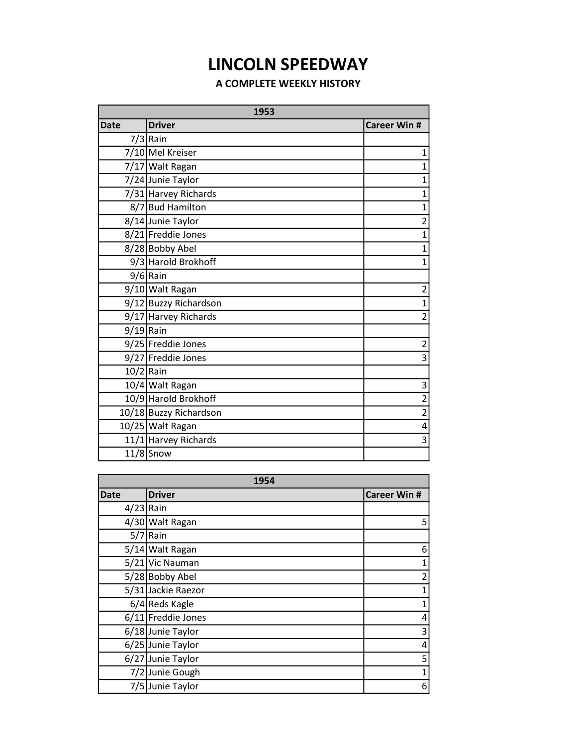## LINCOLN SPEEDWAY

## A COMPLETE WEEKLY HISTORY

| 1953        |                        |                     |
|-------------|------------------------|---------------------|
| <b>Date</b> | <b>Driver</b>          | <b>Career Win #</b> |
|             | $7/3$ Rain             |                     |
|             | 7/10 Mel Kreiser       | 1                   |
|             | 7/17 Walt Ragan        | $\overline{1}$      |
|             | 7/24 Junie Taylor      | $\overline{1}$      |
|             | 7/31 Harvey Richards   | $\overline{1}$      |
|             | 8/7 Bud Hamilton       | $\overline{1}$      |
|             | 8/14 Junie Taylor      | $\overline{2}$      |
|             | 8/21 Freddie Jones     | $\overline{1}$      |
|             | 8/28 Bobby Abel        | $\overline{1}$      |
|             | 9/3 Harold Brokhoff    | $\overline{1}$      |
|             | $9/6$ Rain             |                     |
|             | 9/10 Walt Ragan        | $\overline{2}$      |
|             | 9/12 Buzzy Richardson  | $\overline{1}$      |
|             | 9/17 Harvey Richards   | $\overline{2}$      |
| $9/19$ Rain |                        |                     |
|             | 9/25 Freddie Jones     | $\overline{2}$      |
|             | 9/27 Freddie Jones     | 3                   |
| $10/2$ Rain |                        |                     |
|             | 10/4 Walt Ragan        | 3                   |
|             | 10/9 Harold Brokhoff   | $\overline{2}$      |
|             | 10/18 Buzzy Richardson | $\overline{2}$      |
|             | 10/25 Walt Ragan       | 4                   |
|             | 11/1 Harvey Richards   | 3                   |
|             | $11/8$ Snow            |                     |

| 1954        |                    |                     |
|-------------|--------------------|---------------------|
| Date        | <b>Driver</b>      | <b>Career Win #</b> |
| $4/23$ Rain |                    |                     |
|             | 4/30 Walt Ragan    | 5                   |
| 5/7         | Rain               |                     |
|             | 5/14 Walt Ragan    | 6                   |
|             | 5/21 Vic Nauman    | 1                   |
|             | 5/28 Bobby Abel    | $\overline{2}$      |
|             | 5/31 Jackie Raezor | $\mathbf{1}$        |
|             | $6/4$ Reds Kagle   | 1                   |
|             | 6/11 Freddie Jones | 4                   |
|             | 6/18 Junie Taylor  | 3                   |
|             | 6/25 Junie Taylor  | 4                   |
|             | 6/27 Junie Taylor  | 5                   |
|             | 7/2 Junie Gough    | 1                   |
|             | 7/5 Junie Taylor   | 6                   |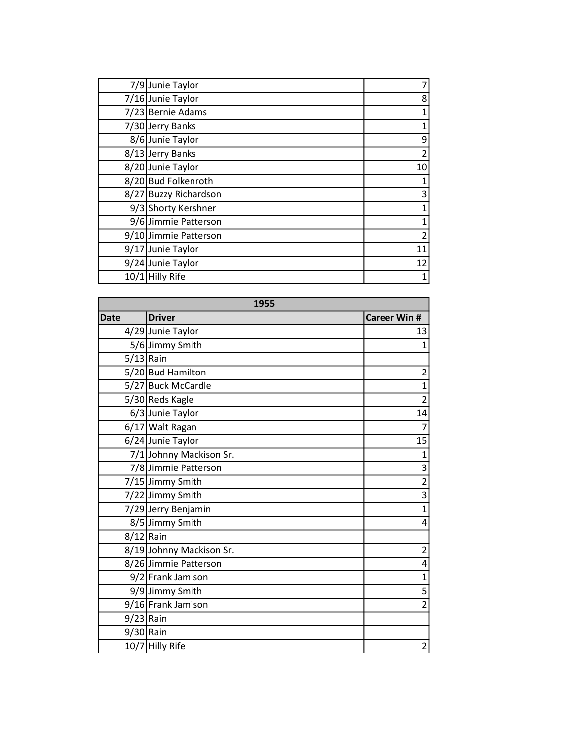| 7/9 Junie Taylor      | 7  |
|-----------------------|----|
| 7/16 Junie Taylor     | 8  |
| 7/23 Bernie Adams     | 1  |
| 7/30 Jerry Banks      | 1  |
| 8/6 Junie Taylor      | 9  |
| 8/13 Jerry Banks      | 2  |
| 8/20 Junie Taylor     | 10 |
| 8/20 Bud Folkenroth   |    |
| 8/27 Buzzy Richardson | 3  |
| 9/3 Shorty Kershner   |    |
| 9/6 Jimmie Patterson  | 1  |
| 9/10 Jimmie Patterson | 2  |
| 9/17 Junie Taylor     | 11 |
| 9/24 Junie Taylor     | 12 |
| 10/1 Hilly Rife       | 1  |

| 1955        |                          |                     |
|-------------|--------------------------|---------------------|
| <b>Date</b> | <b>Driver</b>            | <b>Career Win #</b> |
|             | 4/29 Junie Taylor        | 13                  |
|             | 5/6 Jimmy Smith          | $\overline{1}$      |
| $5/13$ Rain |                          |                     |
|             | 5/20 Bud Hamilton        | $\overline{c}$      |
|             | 5/27 Buck McCardle       | $\overline{1}$      |
|             | 5/30 Reds Kagle          | $\overline{2}$      |
|             | 6/3 Junie Taylor         | 14                  |
|             | 6/17 Walt Ragan          | $\overline{7}$      |
|             | 6/24 Junie Taylor        | 15                  |
|             | 7/1 Johnny Mackison Sr.  | $\mathbf 1$         |
|             | 7/8 Jimmie Patterson     | $\overline{3}$      |
|             | 7/15 Jimmy Smith         | $\overline{2}$      |
|             | 7/22 Jimmy Smith         | $\overline{3}$      |
|             | 7/29 Jerry Benjamin      | $\overline{1}$      |
|             | 8/5 Jimmy Smith          | 4                   |
| $8/12$ Rain |                          |                     |
|             | 8/19 Johnny Mackison Sr. | $\overline{c}$      |
|             | 8/26 Jimmie Patterson    | 4                   |
|             | 9/2 Frank Jamison        | $\mathbf{1}$        |
|             | 9/9 Jimmy Smith          | $\overline{5}$      |
|             | 9/16 Frank Jamison       | $\overline{2}$      |
| $9/23$ Rain |                          |                     |
| $9/30$ Rain |                          |                     |
|             | 10/7 Hilly Rife          | $\overline{2}$      |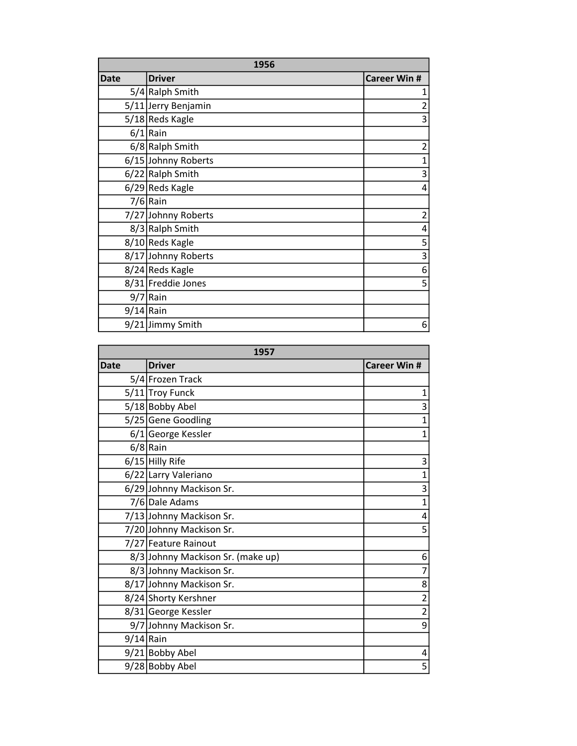| 1956        |                     |                         |
|-------------|---------------------|-------------------------|
| <b>Date</b> | <b>Driver</b>       | <b>Career Win #</b>     |
|             | 5/4 Ralph Smith     | 1                       |
|             | 5/11 Jerry Benjamin | $\overline{\mathbf{c}}$ |
|             | 5/18 Reds Kagle     | 3                       |
|             | $6/1$ Rain          |                         |
|             | 6/8 Ralph Smith     | $\overline{c}$          |
|             | 6/15 Johnny Roberts | $\mathbf{1}$            |
|             | 6/22 Ralph Smith    | 3                       |
|             | $6/29$ Reds Kagle   | 4                       |
|             | $7/6$ Rain          |                         |
|             | 7/27 Johnny Roberts | $\overline{c}$          |
|             | 8/3 Ralph Smith     | 4                       |
|             | 8/10 Reds Kagle     | 5                       |
|             | 8/17 Johnny Roberts | 3                       |
|             | 8/24 Reds Kagle     | 6                       |
|             | 8/31 Freddie Jones  | 5                       |
|             | $9/7$ Rain          |                         |
| $9/14$ Rain |                     |                         |
|             | 9/21 Jimmy Smith    | 6                       |

| 1957        |                                   |                     |
|-------------|-----------------------------------|---------------------|
| <b>Date</b> | <b>Driver</b>                     | <b>Career Win #</b> |
|             | 5/4 Frozen Track                  |                     |
|             | 5/11 Troy Funck                   | $\mathbf 1$         |
|             | 5/18 Bobby Abel                   | 3                   |
|             | 5/25 Gene Goodling                | $\mathbf{1}$        |
|             | 6/1 George Kessler                | $\overline{1}$      |
|             | $6/8$ Rain                        |                     |
|             | $6/15$ Hilly Rife                 | 3                   |
|             | 6/22 Larry Valeriano              | $\mathbf{1}$        |
|             | 6/29 Johnny Mackison Sr.          | 3                   |
|             | 7/6 Dale Adams                    | $\mathbf{1}$        |
|             | 7/13 Johnny Mackison Sr.          | 4                   |
|             | 7/20 Johnny Mackison Sr.          | 5                   |
|             | 7/27 Feature Rainout              |                     |
|             | 8/3 Johnny Mackison Sr. (make up) | 6                   |
|             | 8/3 Johnny Mackison Sr.           | $\overline{7}$      |
|             | 8/17 Johnny Mackison Sr.          | 8                   |
|             | 8/24 Shorty Kershner              | $\overline{2}$      |
|             | 8/31 George Kessler               | $\overline{2}$      |
|             | 9/7 Johnny Mackison Sr.           | 9                   |
| $9/14$ Rain |                                   |                     |
|             | 9/21 Bobby Abel                   | 4                   |
|             | 9/28 Bobby Abel                   | 5                   |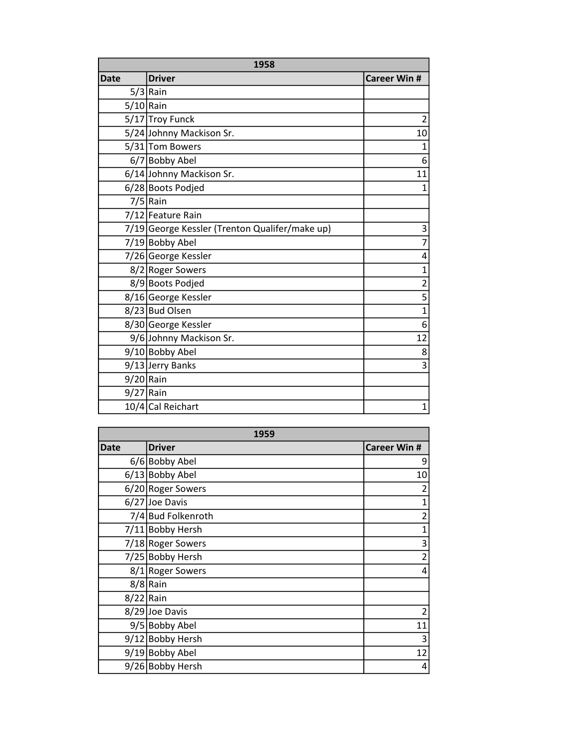| 1958        |                                                |                         |
|-------------|------------------------------------------------|-------------------------|
| <b>Date</b> | <b>Driver</b>                                  | <b>Career Win #</b>     |
|             | $5/3$ Rain                                     |                         |
| $5/10$ Rain |                                                |                         |
|             | 5/17 Troy Funck                                | $\overline{2}$          |
|             | 5/24 Johnny Mackison Sr.                       | 10                      |
|             | 5/31 Tom Bowers                                | $\mathbf{1}$            |
|             | 6/7 Bobby Abel                                 | 6                       |
|             | 6/14 Johnny Mackison Sr.                       | 11                      |
|             | 6/28 Boots Podjed                              | 1                       |
|             | $7/5$ Rain                                     |                         |
|             | 7/12 Feature Rain                              |                         |
|             | 7/19 George Kessler (Trenton Qualifer/make up) | 3                       |
|             | 7/19 Bobby Abel                                | $\overline{7}$          |
|             | 7/26 George Kessler                            | 4                       |
|             | 8/2 Roger Sowers                               | $\overline{1}$          |
|             | 8/9 Boots Podjed                               | $\overline{c}$          |
|             | 8/16 George Kessler                            | $\overline{5}$          |
|             | 8/23 Bud Olsen                                 | $\mathbf{1}$            |
|             | 8/30 George Kessler                            | $\overline{6}$          |
|             | 9/6 Johnny Mackison Sr.                        | 12                      |
|             | 9/10 Bobby Abel                                | 8                       |
|             | 9/13 Jerry Banks                               | $\overline{\mathsf{3}}$ |
| $9/20$ Rain |                                                |                         |
| $9/27$ Rain |                                                |                         |
|             | 10/4 Cal Reichart                              | $\mathbf{1}$            |

| 1959        |                    |                     |
|-------------|--------------------|---------------------|
| <b>Date</b> | <b>Driver</b>      | <b>Career Win #</b> |
|             | 6/6 Bobby Abel     | 9                   |
|             | 6/13 Bobby Abel    | 10                  |
|             | 6/20 Roger Sowers  | 2                   |
|             | 6/27 Joe Davis     | 1                   |
|             | 7/4 Bud Folkenroth | $\overline{a}$      |
|             | 7/11 Bobby Hersh   | $\overline{1}$      |
|             | 7/18 Roger Sowers  | 3                   |
|             | 7/25 Bobby Hersh   | $\overline{2}$      |
|             | 8/1 Roger Sowers   | 4                   |
|             | $8/8$ Rain         |                     |
| $8/22$ Rain |                    |                     |
|             | 8/29 Joe Davis     | 2                   |
|             | 9/5 Bobby Abel     | 11                  |
|             | 9/12 Bobby Hersh   | 3                   |
|             | 9/19 Bobby Abel    | 12                  |
|             | 9/26 Bobby Hersh   | 4                   |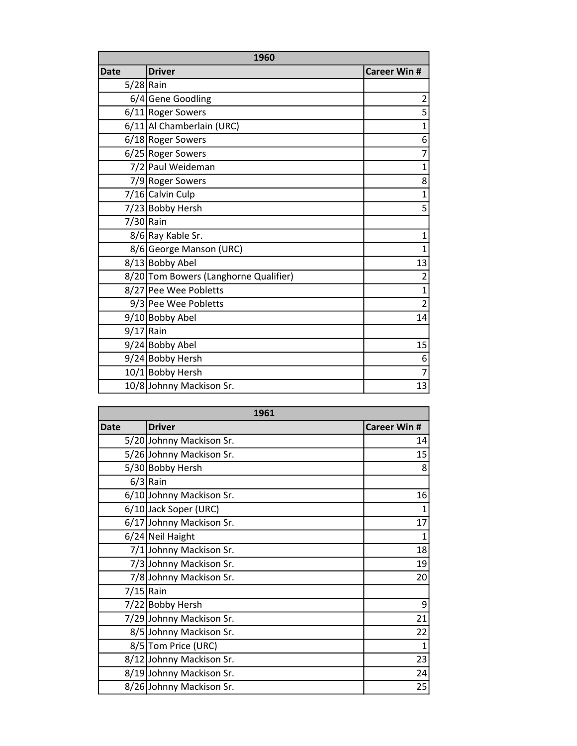| 1960        |                                       |                     |
|-------------|---------------------------------------|---------------------|
| Date        | <b>Driver</b>                         | <b>Career Win #</b> |
| $5/28$ Rain |                                       |                     |
|             | 6/4 Gene Goodling                     | 2                   |
|             | 6/11 Roger Sowers                     | 5                   |
|             | 6/11 Al Chamberlain (URC)             | 1                   |
|             | 6/18 Roger Sowers                     | 6                   |
|             | 6/25 Roger Sowers                     | 7                   |
|             | 7/2 Paul Weideman                     | $\overline{1}$      |
|             | 7/9 Roger Sowers                      | 8                   |
|             | 7/16 Calvin Culp                      | $\overline{1}$      |
|             | 7/23 Bobby Hersh                      | 5                   |
| 7/30 Rain   |                                       |                     |
|             | 8/6 Ray Kable Sr.                     | 1                   |
|             | 8/6 George Manson (URC)               | 1                   |
|             | 8/13 Bobby Abel                       | 13                  |
|             | 8/20 Tom Bowers (Langhorne Qualifier) | $\overline{2}$      |
|             | 8/27 Pee Wee Pobletts                 | $\overline{1}$      |
|             | 9/3 Pee Wee Pobletts                  | $\overline{2}$      |
|             | 9/10 Bobby Abel                       | 14                  |
| $9/17$ Rain |                                       |                     |
|             | 9/24 Bobby Abel                       | 15                  |
|             | 9/24 Bobby Hersh                      | 6                   |
|             | 10/1 Bobby Hersh                      | $\overline{7}$      |
|             | 10/8 Johnny Mackison Sr.              | 13                  |

| 1961        |                          |                     |
|-------------|--------------------------|---------------------|
| <b>Date</b> | <b>Driver</b>            | <b>Career Win #</b> |
|             | 5/20 Johnny Mackison Sr. | 14                  |
|             | 5/26 Johnny Mackison Sr. | 15                  |
|             | 5/30 Bobby Hersh         | 8                   |
|             | $6/3$ Rain               |                     |
|             | 6/10 Johnny Mackison Sr. | 16                  |
|             | 6/10 Jack Soper (URC)    | $\overline{1}$      |
|             | 6/17 Johnny Mackison Sr. | 17                  |
|             | $6/24$ Neil Haight       | $\overline{1}$      |
|             | 7/1 Johnny Mackison Sr.  | 18                  |
|             | 7/3 Johnny Mackison Sr.  | 19                  |
|             | 7/8 Johnny Mackison Sr.  | 20                  |
| $7/15$ Rain |                          |                     |
|             | 7/22 Bobby Hersh         | 9                   |
|             | 7/29 Johnny Mackison Sr. | 21                  |
|             | 8/5 Johnny Mackison Sr.  | 22                  |
|             | 8/5 Tom Price (URC)      | 1                   |
|             | 8/12 Johnny Mackison Sr. | 23                  |
|             | 8/19 Johnny Mackison Sr. | 24                  |
|             | 8/26 Johnny Mackison Sr. | 25                  |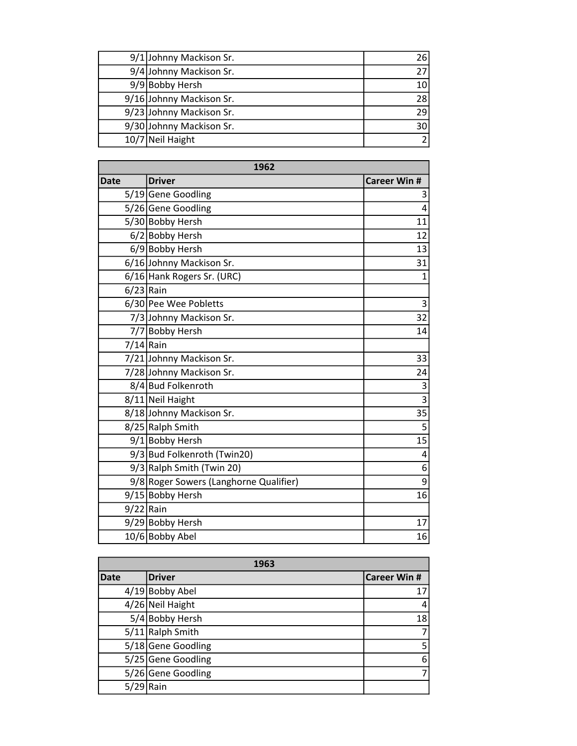| 9/1 Johnny Mackison Sr.  | 26 |
|--------------------------|----|
| 9/4 Johnny Mackison Sr.  |    |
| 9/9 Bobby Hersh          | 10 |
| 9/16 Johnny Mackison Sr. | 28 |
| 9/23 Johnny Mackison Sr. | 29 |
| 9/30 Johnny Mackison Sr. | 30 |
| 10/7 Neil Haight         |    |

| 1962        |                                        |                     |
|-------------|----------------------------------------|---------------------|
| <b>Date</b> | <b>Driver</b>                          | <b>Career Win #</b> |
|             | 5/19 Gene Goodling                     | 3                   |
|             | 5/26 Gene Goodling                     | 4                   |
|             | 5/30 Bobby Hersh                       | 11                  |
|             | 6/2 Bobby Hersh                        | 12                  |
|             | 6/9 Bobby Hersh                        | 13                  |
|             | 6/16 Johnny Mackison Sr.               | 31                  |
|             | 6/16 Hank Rogers Sr. (URC)             | $\mathbf{1}$        |
| $6/23$ Rain |                                        |                     |
|             | 6/30 Pee Wee Pobletts                  | 3                   |
|             | 7/3 Johnny Mackison Sr.                | 32                  |
|             | 7/7 Bobby Hersh                        | 14                  |
|             | $7/14$ Rain                            |                     |
|             | 7/21 Johnny Mackison Sr.               | 33                  |
|             | 7/28 Johnny Mackison Sr.               | 24                  |
|             | 8/4 Bud Folkenroth                     | $\overline{3}$      |
|             | 8/11 Neil Haight                       | $\overline{3}$      |
|             | 8/18 Johnny Mackison Sr.               | 35                  |
|             | 8/25 Ralph Smith                       | 5                   |
|             | 9/1 Bobby Hersh                        | 15                  |
|             | 9/3 Bud Folkenroth (Twin20)            | 4                   |
|             | $9/3$ Ralph Smith (Twin 20)            | 6                   |
|             | 9/8 Roger Sowers (Langhorne Qualifier) | $\overline{9}$      |
|             | 9/15 Bobby Hersh                       | 16                  |
| $9/22$ Rain |                                        |                     |
|             | 9/29 Bobby Hersh                       | 17                  |
|             | 10/6 Bobby Abel                        | 16                  |

| 1963        |                    |                     |
|-------------|--------------------|---------------------|
| <b>Date</b> | <b>Driver</b>      | <b>Career Win #</b> |
|             | $4/19$ Bobby Abel  | 17                  |
|             | 4/26 Neil Haight   | 4                   |
|             | 5/4 Bobby Hersh    | 18                  |
|             | 5/11 Ralph Smith   | 7                   |
|             | 5/18 Gene Goodling | 5                   |
|             | 5/25 Gene Goodling | 6                   |
|             | 5/26 Gene Goodling | 7                   |
| 5/29        | Rain               |                     |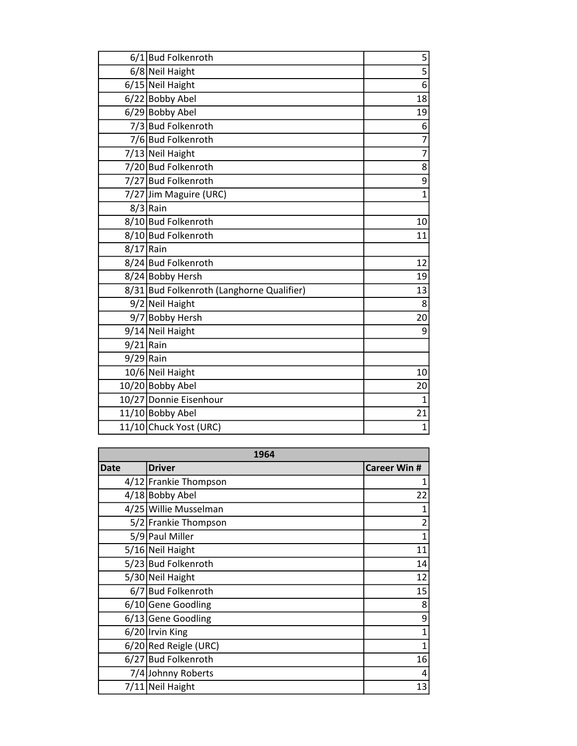|             | 6/1 Bud Folkenroth                        | 5              |
|-------------|-------------------------------------------|----------------|
|             | 6/8 Neil Haight                           | $\overline{5}$ |
|             | 6/15 Neil Haight                          | $\overline{6}$ |
|             | 6/22 Bobby Abel                           | 18             |
|             | 6/29 Bobby Abel                           | 19             |
|             | 7/3 Bud Folkenroth                        | 6              |
|             | 7/6 Bud Folkenroth                        | 7              |
|             | 7/13 Neil Haight                          | $\overline{7}$ |
|             | 7/20 Bud Folkenroth                       | 8              |
|             | 7/27 Bud Folkenroth                       | $\overline{9}$ |
|             | 7/27 Jim Maguire (URC)                    | $\overline{1}$ |
|             | $8/3$ Rain                                |                |
|             | 8/10 Bud Folkenroth                       | 10             |
|             | 8/10 Bud Folkenroth                       | 11             |
| $8/17$ Rain |                                           |                |
|             | 8/24 Bud Folkenroth                       | 12             |
|             | 8/24 Bobby Hersh                          | 19             |
|             | 8/31 Bud Folkenroth (Langhorne Qualifier) | 13             |
|             | 9/2 Neil Haight                           | 8              |
|             | 9/7 Bobby Hersh                           | 20             |
|             | 9/14 Neil Haight                          | 9              |
| $9/21$ Rain |                                           |                |
| $9/29$ Rain |                                           |                |
|             | 10/6 Neil Haight                          | 10             |
|             | 10/20 Bobby Abel                          | 20             |
|             | 10/27 Donnie Eisenhour                    | 1              |
|             | 11/10 Bobby Abel                          | 21             |
|             | 11/10 Chuck Yost (URC)                    | $\overline{1}$ |

| 1964        |                       |                     |
|-------------|-----------------------|---------------------|
| <b>Date</b> | <b>Driver</b>         | <b>Career Win #</b> |
|             | 4/12 Frankie Thompson | 1                   |
|             | 4/18 Bobby Abel       | 22                  |
|             | 4/25 Willie Musselman | 1                   |
|             | 5/2 Frankie Thompson  | $\overline{2}$      |
|             | 5/9 Paul Miller       | 1                   |
|             | 5/16 Neil Haight      | 11                  |
|             | 5/23 Bud Folkenroth   | 14                  |
|             | 5/30 Neil Haight      | 12                  |
|             | 6/7 Bud Folkenroth    | 15                  |
|             | 6/10 Gene Goodling    | 8                   |
|             | 6/13 Gene Goodling    | 9                   |
|             | 6/20 Irvin King       | 1                   |
|             | 6/20 Red Reigle (URC) | 1                   |
|             | 6/27 Bud Folkenroth   | 16                  |
|             | 7/4 Johnny Roberts    | 4                   |
|             | 7/11 Neil Haight      | 13                  |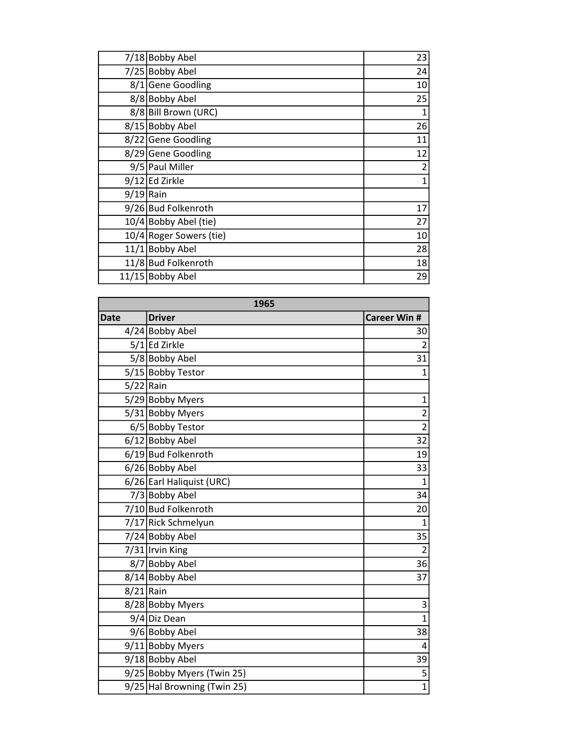|             | 7/18 Bobby Abel         | 23 |
|-------------|-------------------------|----|
|             | 7/25 Bobby Abel         | 24 |
|             | 8/1 Gene Goodling       | 10 |
|             | 8/8 Bobby Abel          | 25 |
|             | 8/8 Bill Brown (URC)    | 1  |
|             | 8/15 Bobby Abel         | 26 |
|             | 8/22 Gene Goodling      | 11 |
|             | 8/29 Gene Goodling      | 12 |
|             | 9/5 Paul Miller         | 2  |
|             | 9/12 Ed Zirkle          | 1  |
| $9/19$ Rain |                         |    |
|             | 9/26 Bud Folkenroth     | 17 |
|             | 10/4 Bobby Abel (tie)   | 27 |
|             | 10/4 Roger Sowers (tie) | 10 |
|             | 11/1 Bobby Abel         | 28 |
|             | 11/8 Bud Folkenroth     | 18 |
|             | 11/15 Bobby Abel        | 29 |

| 1965        |                             |                         |
|-------------|-----------------------------|-------------------------|
| <b>Date</b> | <b>Driver</b>               | <b>Career Win #</b>     |
|             | 4/24 Bobby Abel             | 30                      |
|             | $5/1$ Ed Zirkle             | $\overline{2}$          |
|             | 5/8 Bobby Abel              | 31                      |
|             | 5/15 Bobby Testor           | $\overline{1}$          |
| $5/22$ Rain |                             |                         |
|             | 5/29 Bobby Myers            | $\mathbf{1}$            |
|             | 5/31 Bobby Myers            | $\overline{2}$          |
|             | 6/5 Bobby Testor            | $\overline{2}$          |
|             | 6/12 Bobby Abel             | 32                      |
|             | 6/19 Bud Folkenroth         | 19                      |
|             | 6/26 Bobby Abel             | 33                      |
|             | 6/26 Earl Haliquist (URC)   | $\overline{1}$          |
|             | 7/3 Bobby Abel              | 34                      |
|             | 7/10 Bud Folkenroth         | 20                      |
|             | 7/17 Rick Schmelyun         | $\mathbf{1}$            |
|             | 7/24 Bobby Abel             | 35                      |
|             | 7/31 Irvin King             | $\overline{2}$          |
|             | 8/7 Bobby Abel              | 36                      |
|             | 8/14 Bobby Abel             | 37                      |
| $8/21$ Rain |                             |                         |
|             | 8/28 Bobby Myers            | 3                       |
|             | 9/4 Diz Dean                | $\overline{1}$          |
|             | 9/6 Bobby Abel              | 38                      |
|             | 9/11 Bobby Myers            | $\overline{\mathbf{4}}$ |
|             | 9/18 Bobby Abel             | 39                      |
|             | 9/25 Bobby Myers (Twin 25)  | 5                       |
|             | 9/25 Hal Browning (Twin 25) | $\overline{1}$          |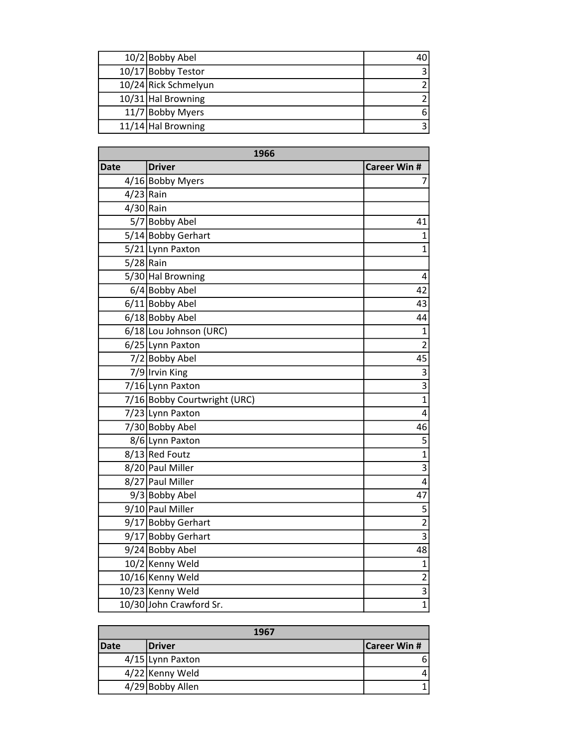| 10/2 Bobby Abel      |  |
|----------------------|--|
| 10/17 Bobby Testor   |  |
| 10/24 Rick Schmelyun |  |
| $10/31$ Hal Browning |  |
| 11/7 Bobby Myers     |  |
| $11/14$ Hal Browning |  |

| 1966        |                              |                     |
|-------------|------------------------------|---------------------|
| Date        | <b>Driver</b>                | <b>Career Win #</b> |
|             | 4/16 Bobby Myers             | 7                   |
| $4/23$ Rain |                              |                     |
| $4/30$ Rain |                              |                     |
|             | 5/7 Bobby Abel               | 41                  |
|             | 5/14 Bobby Gerhart           | $\overline{1}$      |
|             | 5/21 Lynn Paxton             | $\overline{1}$      |
| $5/28$ Rain |                              |                     |
|             | 5/30 Hal Browning            | 4                   |
|             | 6/4 Bobby Abel               | 42                  |
|             | 6/11 Bobby Abel              | 43                  |
|             | 6/18 Bobby Abel              | 44                  |
|             | 6/18 Lou Johnson (URC)       | $\mathbf 1$         |
|             | 6/25 Lynn Paxton             | $\overline{2}$      |
|             | 7/2 Bobby Abel               | 45                  |
|             | 7/9 Irvin King               | 3                   |
|             | 7/16 Lynn Paxton             | $\overline{3}$      |
|             | 7/16 Bobby Courtwright (URC) | $\overline{1}$      |
|             | 7/23 Lynn Paxton             | 4                   |
|             | 7/30 Bobby Abel              | 46                  |
|             | 8/6 Lynn Paxton              | 5                   |
|             | 8/13 Red Foutz               | $\overline{1}$      |
|             | 8/20 Paul Miller             | $\overline{3}$      |
|             | 8/27 Paul Miller             | 4                   |
|             | 9/3 Bobby Abel               | 47                  |
|             | 9/10 Paul Miller             | 5                   |
|             | 9/17 Bobby Gerhart           | $\overline{2}$      |
|             | 9/17 Bobby Gerhart           | $\overline{3}$      |
|             | 9/24 Bobby Abel              | 48                  |
|             | 10/2 Kenny Weld              | $\mathbf 1$         |
|             | 10/16 Kenny Weld             | $\overline{2}$      |
|             | 10/23 Kenny Weld             | $\overline{3}$      |
|             | 10/30 John Crawford Sr.      | $\mathbf{1}$        |

| 1967        |                  |                     |
|-------------|------------------|---------------------|
| <b>Date</b> | <b>Driver</b>    | <b>Career Win #</b> |
|             | 4/15 Lynn Paxton | 6                   |
|             | 4/22 Kenny Weld  |                     |
|             | 4/29 Bobby Allen |                     |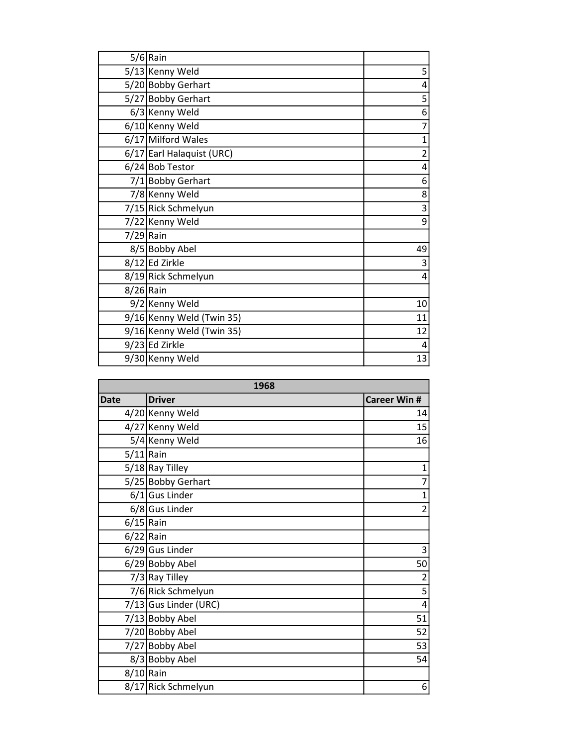|             | $5/6$ Rain                |                |
|-------------|---------------------------|----------------|
|             | 5/13 Kenny Weld           | 5              |
|             | 5/20 Bobby Gerhart        | 4              |
|             | 5/27 Bobby Gerhart        | 5              |
|             | 6/3 Kenny Weld            | 6              |
|             | 6/10 Kenny Weld           | $\overline{7}$ |
|             | 6/17 Milford Wales        | $\overline{1}$ |
|             | 6/17 Earl Halaquist (URC) | $\overline{c}$ |
|             | $6/24$ Bob Testor         | 4              |
|             | 7/1 Bobby Gerhart         | 6              |
|             | 7/8 Kenny Weld            | 8              |
|             | 7/15 Rick Schmelyun       | 3              |
|             | 7/22 Kenny Weld           | 9              |
| $7/29$ Rain |                           |                |
|             | 8/5 Bobby Abel            | 49             |
|             | 8/12 Ed Zirkle            | 3              |
|             | 8/19 Rick Schmelyun       | 4              |
| $8/26$ Rain |                           |                |
|             | 9/2 Kenny Weld            | 10             |
|             | 9/16 Kenny Weld (Twin 35) | 11             |
|             | 9/16 Kenny Weld (Twin 35) | 12             |
|             | 9/23 Ed Zirkle            | 4              |
|             | 9/30 Kenny Weld           | 13             |

| 1968         |                         |                     |
|--------------|-------------------------|---------------------|
| <b>Date</b>  | <b>Driver</b>           | <b>Career Win #</b> |
|              | 4/20 Kenny Weld         | 14                  |
|              | 4/27 Kenny Weld         | 15                  |
|              | 5/4 Kenny Weld          | 16                  |
| $5/11$  Rain |                         |                     |
|              | $5/18$ Ray Tilley       | $\mathbf{1}$        |
|              | 5/25 Bobby Gerhart      | 7                   |
|              | $6/1$ Gus Linder        | $\mathbf{1}$        |
|              | 6/8 Gus Linder          | $\overline{2}$      |
| $6/15$ Rain  |                         |                     |
| $6/22$ Rain  |                         |                     |
|              | $6/29$ Gus Linder       | 3                   |
|              | 6/29 Bobby Abel         | 50                  |
|              | $7/3$ Ray Tilley        | $\overline{c}$      |
|              | 7/6 Rick Schmelyun      | $\overline{5}$      |
|              | $7/13$ Gus Linder (URC) | 4                   |
|              | 7/13 Bobby Abel         | 51                  |
|              | 7/20 Bobby Abel         | 52                  |
|              | 7/27 Bobby Abel         | 53                  |
|              | 8/3 Bobby Abel          | 54                  |
| $8/10$ Rain  |                         |                     |
|              | 8/17 Rick Schmelyun     | 6                   |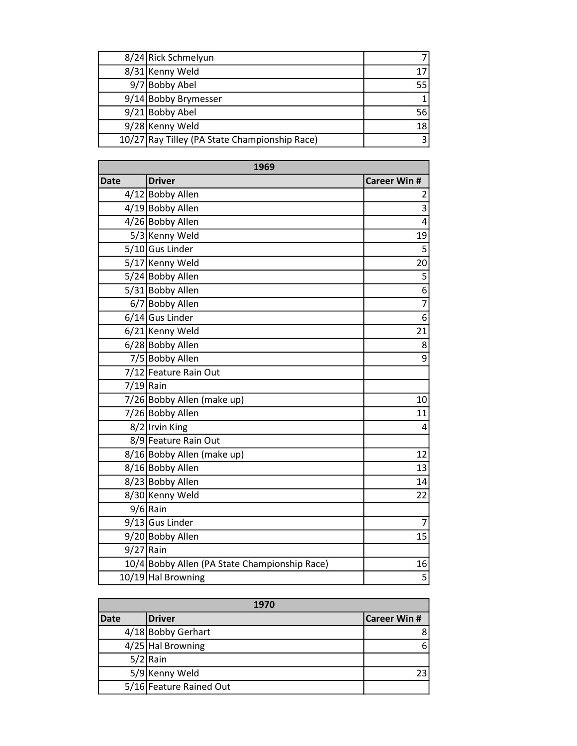| 8/24 Rick Schmelyun                           |     |
|-----------------------------------------------|-----|
| 8/31 Kenny Weld                               |     |
| 9/7 Bobby Abel                                | 551 |
| 9/14 Bobby Brymesser                          |     |
| 9/21 Bobby Abel                               | 56  |
| 9/28 Kenny Weld                               | 18  |
| 10/27 Ray Tilley (PA State Championship Race) |     |

| 1969        |                                               |                           |
|-------------|-----------------------------------------------|---------------------------|
| <b>Date</b> | <b>Driver</b>                                 | <b>Career Win #</b>       |
|             | 4/12 Bobby Allen                              | $\overline{\mathbf{c}}$   |
|             | 4/19 Bobby Allen                              | $\overline{\overline{3}}$ |
|             | 4/26 Bobby Allen                              | 4                         |
|             | 5/3 Kenny Weld                                | 19                        |
|             | 5/10 Gus Linder                               | $\overline{5}$            |
|             | 5/17 Kenny Weld                               | 20                        |
|             | 5/24 Bobby Allen                              | 5                         |
|             | 5/31 Bobby Allen                              | $\overline{6}$            |
|             | 6/7 Bobby Allen                               | $\overline{7}$            |
|             | $6/14$ Gus Linder                             | 6                         |
|             | 6/21 Kenny Weld                               | 21                        |
|             | 6/28 Bobby Allen                              | 8                         |
|             | 7/5 Bobby Allen                               | 9                         |
|             | 7/12 Feature Rain Out                         |                           |
| $7/19$ Rain |                                               |                           |
|             | 7/26 Bobby Allen (make up)                    | 10                        |
|             | 7/26 Bobby Allen                              | 11                        |
|             | 8/2 Irvin King                                | 4                         |
|             | 8/9 Feature Rain Out                          |                           |
|             | 8/16 Bobby Allen (make up)                    | 12                        |
|             | 8/16 Bobby Allen                              | 13                        |
|             | 8/23 Bobby Allen                              | 14                        |
|             | 8/30 Kenny Weld                               | 22                        |
|             | $9/6$ Rain                                    |                           |
|             | 9/13 Gus Linder                               | $\overline{7}$            |
|             | 9/20 Bobby Allen                              | 15                        |
| $9/27$ Rain |                                               |                           |
|             | 10/4 Bobby Allen (PA State Championship Race) | 16                        |
|             | 10/19 Hal Browning                            | $\overline{5}$            |

| 1970 |                         |                     |
|------|-------------------------|---------------------|
| Date | <b>Driver</b>           | <b>Career Win #</b> |
|      | 4/18 Bobby Gerhart      |                     |
|      | $4/25$ Hal Browning     |                     |
|      | $5/2$ Rain              |                     |
|      | 5/9 Kenny Weld          |                     |
|      | 5/16 Feature Rained Out |                     |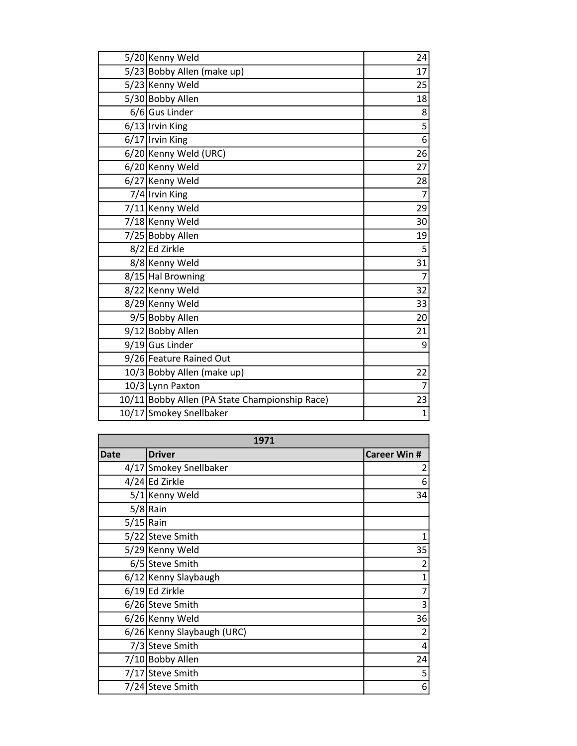| 5/20 Kenny Weld                                | 24             |
|------------------------------------------------|----------------|
| 5/23 Bobby Allen (make up)                     | 17             |
| 5/23 Kenny Weld                                | 25             |
| 5/30 Bobby Allen                               | 18             |
| 6/6 Gus Linder                                 | 8              |
| $6/13$  Irvin King                             | 5              |
| $6/17$  Irvin King                             | $\overline{6}$ |
| 6/20 Kenny Weld (URC)                          | 26             |
| 6/20 Kenny Weld                                | 27             |
| 6/27 Kenny Weld                                | 28             |
| 7/4 Irvin King                                 | $\overline{7}$ |
| 7/11 Kenny Weld                                | 29             |
| 7/18 Kenny Weld                                | 30             |
| 7/25 Bobby Allen                               | 19             |
| $8/2$ Ed Zirkle                                | 5              |
| 8/8 Kenny Weld                                 | 31             |
| 8/15 Hal Browning                              | $\overline{7}$ |
| 8/22 Kenny Weld                                | 32             |
| 8/29 Kenny Weld                                | 33             |
| 9/5 Bobby Allen                                | 20             |
| 9/12 Bobby Allen                               | 21             |
| 9/19 Gus Linder                                | 9              |
| 9/26 Feature Rained Out                        |                |
| 10/3 Bobby Allen (make up)                     | 22             |
| 10/3 Lynn Paxton                               | 7              |
| 10/11 Bobby Allen (PA State Championship Race) | 23             |
| 10/17 Smokey Snellbaker                        | $\mathbf{1}$   |

| 1971         |                            |                     |
|--------------|----------------------------|---------------------|
| <b>Date</b>  | <b>Driver</b>              | <b>Career Win #</b> |
|              | 4/17 Smokey Snellbaker     | 2                   |
|              | 4/24 Ed Zirkle             | 6                   |
|              | 5/1 Kenny Weld             | 34                  |
|              | $5/8$ Rain                 |                     |
| $5/15$  Rain |                            |                     |
|              | 5/22 Steve Smith           |                     |
|              | 5/29 Kenny Weld            | 35                  |
|              | 6/5 Steve Smith            | $\overline{c}$      |
|              | 6/12 Kenny Slaybaugh       | $\mathbf{1}$        |
|              | $6/19$ Ed Zirkle           | 7                   |
|              | 6/26 Steve Smith           | 3                   |
|              | 6/26 Kenny Weld            | 36                  |
|              | 6/26 Kenny Slaybaugh (URC) | $\overline{2}$      |
|              | 7/3 Steve Smith            | 4                   |
|              | 7/10 Bobby Allen           | 24                  |
|              | 7/17 Steve Smith           | 5                   |
|              | 7/24 Steve Smith           | 6                   |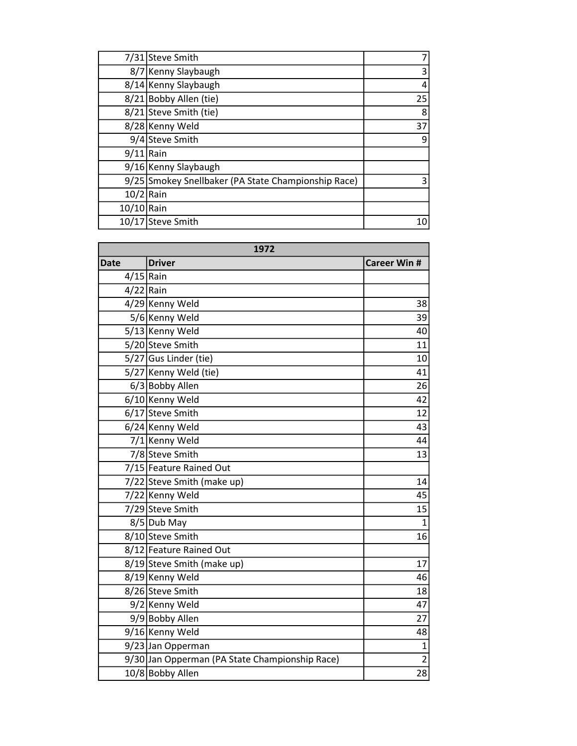|             | 7/31 Steve Smith                                    |    |
|-------------|-----------------------------------------------------|----|
|             | 8/7 Kenny Slaybaugh                                 | 3  |
|             | 8/14 Kenny Slaybaugh                                | 4  |
|             | 8/21 Bobby Allen (tie)                              | 25 |
|             | 8/21 Steve Smith (tie)                              | 8  |
|             | 8/28 Kenny Weld                                     | 37 |
|             | 9/4 Steve Smith                                     | 9  |
| $9/11$ Rain |                                                     |    |
|             | 9/16 Kenny Slaybaugh                                |    |
|             | 9/25 Smokey Snellbaker (PA State Championship Race) | 3  |
| $10/2$ Rain |                                                     |    |
| 10/10 Rain  |                                                     |    |
| 10/17       | Steve Smith                                         | 10 |

| 1972        |                                                |                     |
|-------------|------------------------------------------------|---------------------|
| <b>Date</b> | <b>Driver</b>                                  | <b>Career Win #</b> |
| $4/15$ Rain |                                                |                     |
| $4/22$ Rain |                                                |                     |
|             | 4/29 Kenny Weld                                | 38                  |
|             | 5/6 Kenny Weld                                 | 39                  |
|             | 5/13 Kenny Weld                                | 40                  |
|             | 5/20 Steve Smith                               | 11                  |
|             | 5/27 Gus Linder (tie)                          | 10                  |
|             | 5/27 Kenny Weld (tie)                          | 41                  |
|             | 6/3 Bobby Allen                                | 26                  |
|             | 6/10 Kenny Weld                                | 42                  |
|             | 6/17 Steve Smith                               | 12                  |
|             | 6/24 Kenny Weld                                | 43                  |
|             | 7/1 Kenny Weld                                 | 44                  |
|             | 7/8 Steve Smith                                | 13                  |
|             | 7/15 Feature Rained Out                        |                     |
|             | 7/22 Steve Smith (make up)                     | 14                  |
|             | 7/22 Kenny Weld                                | 45                  |
|             | 7/29 Steve Smith                               | 15                  |
|             | 8/5 Dub May                                    | $\mathbf{1}$        |
|             | 8/10 Steve Smith                               | 16                  |
|             | 8/12 Feature Rained Out                        |                     |
|             | 8/19 Steve Smith (make up)                     | 17                  |
|             | 8/19 Kenny Weld                                | 46                  |
|             | 8/26 Steve Smith                               | 18                  |
|             | 9/2 Kenny Weld                                 | 47                  |
|             | 9/9 Bobby Allen                                | 27                  |
|             | 9/16 Kenny Weld                                | 48                  |
|             | 9/23 Jan Opperman                              | $\overline{1}$      |
|             | 9/30 Jan Opperman (PA State Championship Race) | $\overline{2}$      |
|             | 10/8 Bobby Allen                               | 28                  |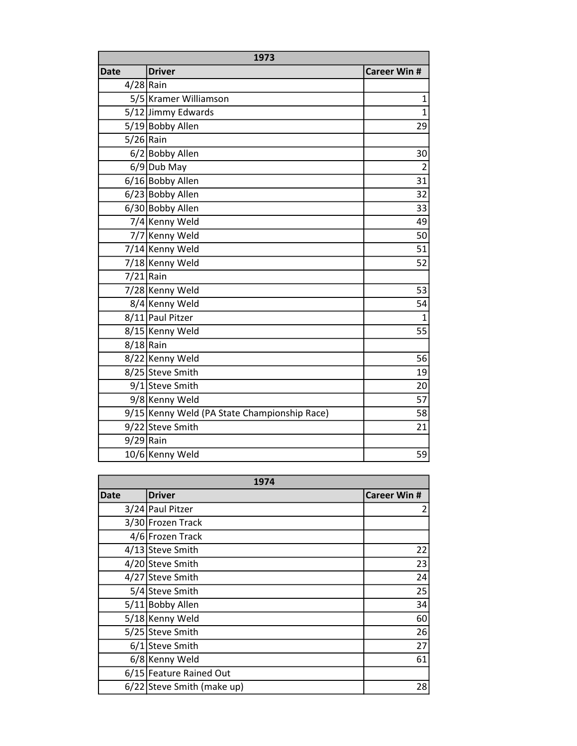| 1973        |                                              |                     |
|-------------|----------------------------------------------|---------------------|
| <b>Date</b> | <b>Driver</b>                                | <b>Career Win #</b> |
| $4/28$ Rain |                                              |                     |
|             | 5/5 Kramer Williamson                        | $\mathbf{1}$        |
|             | 5/12 Jimmy Edwards                           | $\overline{1}$      |
|             | 5/19 Bobby Allen                             | 29                  |
| $5/26$ Rain |                                              |                     |
|             | 6/2 Bobby Allen                              | 30                  |
|             | $6/9$ Dub May                                | $\overline{2}$      |
|             | 6/16 Bobby Allen                             | 31                  |
|             | 6/23 Bobby Allen                             | 32                  |
|             | 6/30 Bobby Allen                             | 33                  |
|             | 7/4 Kenny Weld                               | 49                  |
|             | 7/7 Kenny Weld                               | 50                  |
|             | 7/14 Kenny Weld                              | 51                  |
|             | 7/18 Kenny Weld                              | 52                  |
| $7/21$ Rain |                                              |                     |
|             | 7/28 Kenny Weld                              | 53                  |
|             | 8/4 Kenny Weld                               | 54                  |
|             | 8/11 Paul Pitzer                             | $\mathbf{1}$        |
|             | 8/15 Kenny Weld                              | 55                  |
| $8/18$ Rain |                                              |                     |
|             | 8/22 Kenny Weld                              | 56                  |
|             | 8/25 Steve Smith                             | 19                  |
|             | 9/1 Steve Smith                              | 20                  |
|             | 9/8 Kenny Weld                               | 57                  |
|             | 9/15 Kenny Weld (PA State Championship Race) | 58                  |
|             | 9/22 Steve Smith                             | 21                  |
| $9/29$ Rain |                                              |                     |
|             | 10/6 Kenny Weld                              | 59                  |

| 1974        |                            |                     |
|-------------|----------------------------|---------------------|
| <b>Date</b> | <b>Driver</b>              | <b>Career Win #</b> |
|             | 3/24 Paul Pitzer           | 2                   |
|             | 3/30 Frozen Track          |                     |
|             | 4/6 Frozen Track           |                     |
|             | 4/13 Steve Smith           | 22                  |
|             | 4/20 Steve Smith           | 23                  |
|             | 4/27 Steve Smith           | 24                  |
|             | 5/4 Steve Smith            | 25                  |
|             | 5/11 Bobby Allen           | 34                  |
|             | 5/18 Kenny Weld            | 60                  |
|             | 5/25 Steve Smith           | 26                  |
|             | 6/1 Steve Smith            | 27                  |
|             | 6/8 Kenny Weld             | 61                  |
|             | 6/15 Feature Rained Out    |                     |
|             | 6/22 Steve Smith (make up) | 28                  |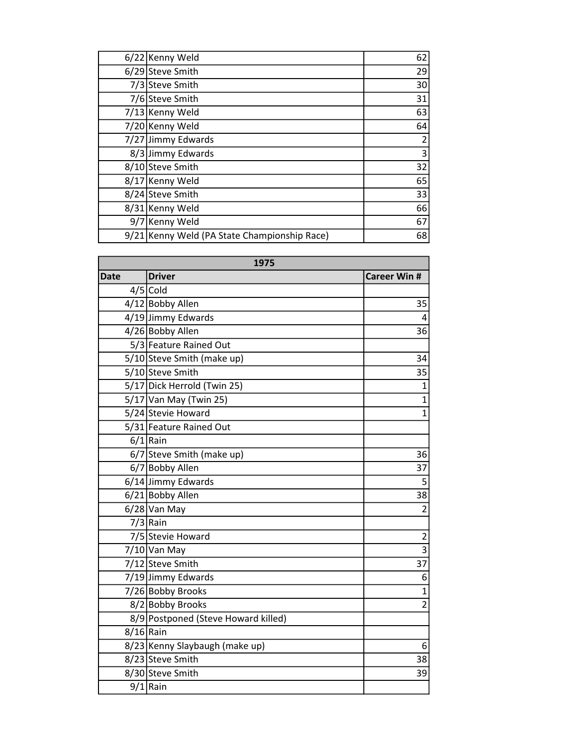| 6/22 Kenny Weld                              | 62             |
|----------------------------------------------|----------------|
| 6/29 Steve Smith                             | 29             |
| 7/3 Steve Smith                              | 30             |
| 7/6 Steve Smith                              | 31             |
| 7/13 Kenny Weld                              | 63             |
| 7/20 Kenny Weld                              | 64             |
| 7/27 Jimmy Edwards                           | $\overline{2}$ |
| 8/3 Jimmy Edwards                            | 3              |
| 8/10 Steve Smith                             | 32             |
| 8/17 Kenny Weld                              | 65             |
| 8/24 Steve Smith                             | 33             |
| 8/31 Kenny Weld                              | 66             |
| 9/7 Kenny Weld                               | 67             |
| 9/21 Kenny Weld (PA State Championship Race) | 68             |

| 1975        |                                     |                     |
|-------------|-------------------------------------|---------------------|
| <b>Date</b> | <b>Driver</b>                       | <b>Career Win #</b> |
|             | $4/5$ Cold                          |                     |
|             | 4/12 Bobby Allen                    | 35                  |
|             | 4/19 Jimmy Edwards                  | 4                   |
|             | 4/26 Bobby Allen                    | 36                  |
|             | 5/3 Feature Rained Out              |                     |
|             | 5/10 Steve Smith (make up)          | 34                  |
|             | 5/10 Steve Smith                    | 35                  |
|             | 5/17 Dick Herrold (Twin 25)         | $\mathbf{1}$        |
|             | 5/17 Van May (Twin 25)              | $\mathbf{1}$        |
|             | 5/24 Stevie Howard                  | $\overline{1}$      |
|             | 5/31 Feature Rained Out             |                     |
|             | $6/1$ Rain                          |                     |
|             | 6/7 Steve Smith (make up)           | 36                  |
|             | 6/7 Bobby Allen                     | 37                  |
|             | 6/14 Jimmy Edwards                  | 5                   |
|             | 6/21 Bobby Allen                    | 38                  |
|             | $6/28$ Van May                      | $\overline{2}$      |
|             | $7/3$ Rain                          |                     |
|             | 7/5 Stevie Howard                   | $rac{2}{3}$         |
|             | 7/10 Van May                        |                     |
|             | 7/12 Steve Smith                    | 37                  |
|             | 7/19 Jimmy Edwards                  | 6                   |
|             | 7/26 Bobby Brooks                   | $\overline{1}$      |
|             | 8/2 Bobby Brooks                    | $\overline{2}$      |
|             | 8/9 Postponed (Steve Howard killed) |                     |
| $8/16$ Rain |                                     |                     |
|             | 8/23 Kenny Slaybaugh (make up)      | 6                   |
|             | 8/23 Steve Smith                    | 38                  |
|             | 8/30 Steve Smith                    | 39                  |
|             | $9/1$ Rain                          |                     |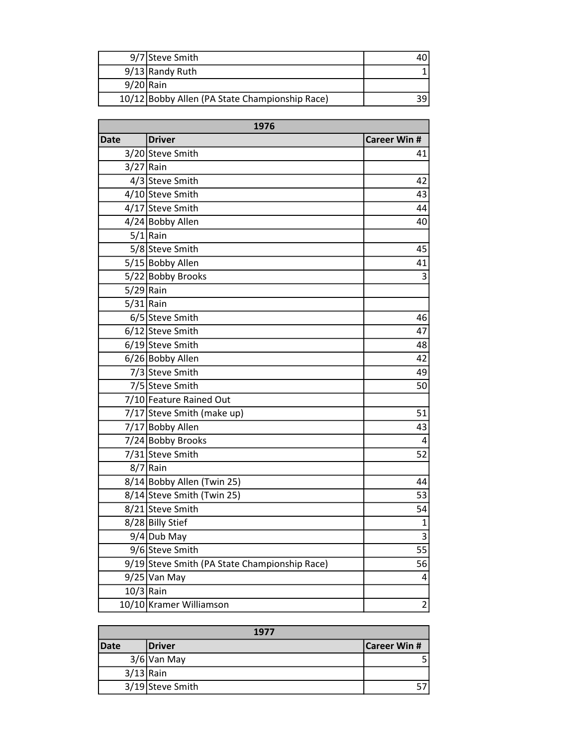|             | 9/7 Steve Smith                                |  |
|-------------|------------------------------------------------|--|
|             | $9/13$ Randy Ruth                              |  |
| $9/20$ Rain |                                                |  |
|             | 10/12 Bobby Allen (PA State Championship Race) |  |

| 1976        |                                               |                     |
|-------------|-----------------------------------------------|---------------------|
| <b>Date</b> | <b>Driver</b>                                 | <b>Career Win #</b> |
|             | 3/20 Steve Smith                              | 41                  |
| $3/27$ Rain |                                               |                     |
|             | 4/3 Steve Smith                               | 42                  |
|             | 4/10 Steve Smith                              | 43                  |
|             | 4/17 Steve Smith                              | 44                  |
|             | 4/24 Bobby Allen                              | 40                  |
|             | $5/1$ Rain                                    |                     |
|             | 5/8 Steve Smith                               | 45                  |
|             | 5/15 Bobby Allen                              | 41                  |
|             | 5/22 Bobby Brooks                             | 3                   |
| $5/29$ Rain |                                               |                     |
| $5/31$ Rain |                                               |                     |
|             | 6/5 Steve Smith                               | 46                  |
|             | 6/12 Steve Smith                              | 47                  |
|             | 6/19 Steve Smith                              | 48                  |
|             | 6/26 Bobby Allen                              | 42                  |
|             | 7/3 Steve Smith                               | 49                  |
|             | 7/5 Steve Smith                               | 50                  |
|             | 7/10 Feature Rained Out                       |                     |
|             | 7/17 Steve Smith (make up)                    | 51                  |
|             | 7/17 Bobby Allen                              | 43                  |
|             | 7/24 Bobby Brooks                             | 4                   |
|             | 7/31 Steve Smith                              | 52                  |
|             | $8/7$ Rain                                    |                     |
|             | 8/14 Bobby Allen (Twin 25)                    | 44                  |
|             | 8/14 Steve Smith (Twin 25)                    | 53                  |
|             | 8/21 Steve Smith                              | 54                  |
|             | 8/28 Billy Stief                              | $\mathbf 1$         |
|             | 9/4 Dub May                                   | 3                   |
|             | 9/6 Steve Smith                               | 55                  |
|             | 9/19 Steve Smith (PA State Championship Race) | 56                  |
|             | 9/25 Van May                                  | 4                   |
|             | $10/3$ Rain                                   |                     |
|             | 10/10 Kramer Williamson                       | $\overline{2}$      |

| 1977        |                  |                     |
|-------------|------------------|---------------------|
| <b>Date</b> | <b>Driver</b>    | <b>Career Win #</b> |
|             | $3/6$ Van May    |                     |
| $3/13$ Rain |                  |                     |
|             | 3/19 Steve Smith |                     |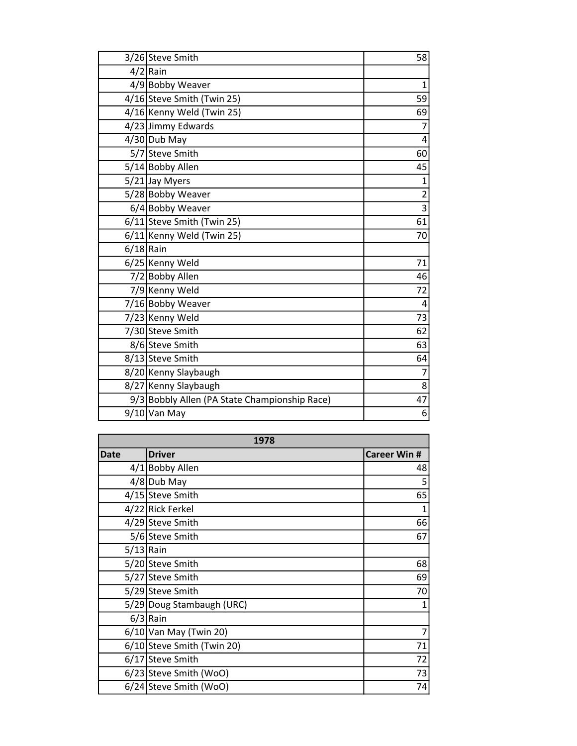|             | 3/26 Steve Smith                              | 58                        |
|-------------|-----------------------------------------------|---------------------------|
|             | $4/2$ Rain                                    |                           |
|             | 4/9 Bobby Weaver                              | $\mathbf{1}$              |
|             | 4/16 Steve Smith (Twin 25)                    | 59                        |
|             | 4/16 Kenny Weld (Twin 25)                     | 69                        |
|             | 4/23 Jimmy Edwards                            | 7                         |
|             | $4/30$ Dub May                                | 4                         |
|             | 5/7 Steve Smith                               | 60                        |
|             | 5/14 Bobby Allen                              | 45                        |
|             | 5/21 Jay Myers                                | $\mathbf 1$               |
|             | 5/28 Bobby Weaver                             | $\overline{2}$            |
|             | 6/4 Bobby Weaver                              | $\overline{\overline{3}}$ |
|             | 6/11 Steve Smith (Twin 25)                    | 61                        |
|             | 6/11 Kenny Weld (Twin 25)                     | 70                        |
| $6/18$ Rain |                                               |                           |
|             | 6/25 Kenny Weld                               | 71                        |
|             | 7/2 Bobby Allen                               | 46                        |
|             | 7/9 Kenny Weld                                | 72                        |
|             | 7/16 Bobby Weaver                             | 4                         |
|             | 7/23 Kenny Weld                               | 73                        |
|             | 7/30 Steve Smith                              | 62                        |
|             | 8/6 Steve Smith                               | 63                        |
|             | 8/13 Steve Smith                              | 64                        |
|             | 8/20 Kenny Slaybaugh                          | $\overline{7}$            |
|             | 8/27 Kenny Slaybaugh                          | 8                         |
|             | 9/3 Bobbly Allen (PA State Championship Race) | 47                        |
|             | $9/10$ Van May                                | 6                         |

| 1978        |                            |                     |
|-------------|----------------------------|---------------------|
| <b>Date</b> | <b>Driver</b>              | <b>Career Win #</b> |
|             | 4/1 Bobby Allen            | 48                  |
|             | $4/8$ Dub May              | 5                   |
|             | 4/15 Steve Smith           | 65                  |
|             | 4/22 Rick Ferkel           | 1                   |
|             | 4/29 Steve Smith           | 66                  |
|             | 5/6 Steve Smith            | 67                  |
| $5/13$ Rain |                            |                     |
|             | 5/20 Steve Smith           | 68                  |
|             | 5/27 Steve Smith           | 69                  |
|             | 5/29 Steve Smith           | 70                  |
|             | 5/29 Doug Stambaugh (URC)  | 1                   |
|             | $6/3$ Rain                 |                     |
|             | $6/10$ Van May (Twin 20)   | 7                   |
|             | 6/10 Steve Smith (Twin 20) | 71                  |
|             | 6/17 Steve Smith           | 72                  |
|             | 6/23 Steve Smith (WoO)     | 73                  |
|             | 6/24 Steve Smith (WoO)     | 74                  |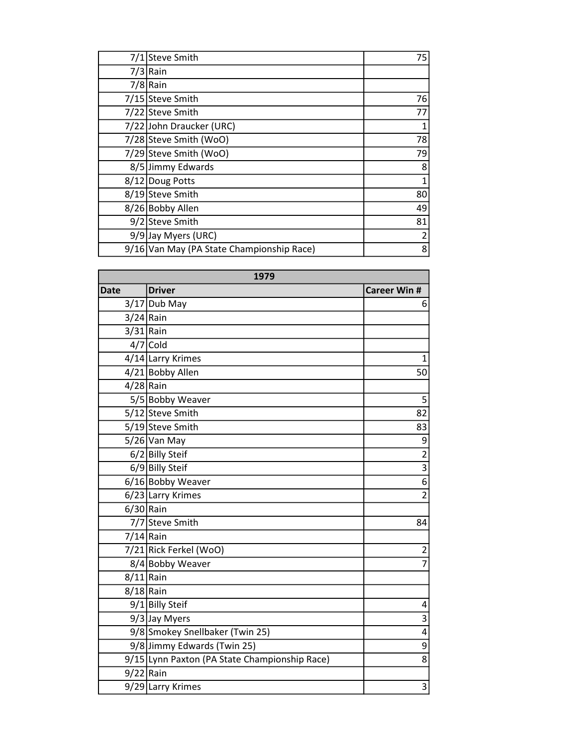| 7/1 Steve Smith                           | 75 |
|-------------------------------------------|----|
| $7/3$ Rain                                |    |
| $7/8$ Rain                                |    |
| 7/15 Steve Smith                          | 76 |
| 7/22 Steve Smith                          | 77 |
| 7/22 John Draucker (URC)                  |    |
| 7/28 Steve Smith (WoO)                    | 78 |
| 7/29 Steve Smith (WoO)                    | 79 |
| 8/5 Jimmy Edwards                         | 8  |
| 8/12 Doug Potts                           | 1  |
| 8/19 Steve Smith                          | 80 |
| 8/26 Bobby Allen                          | 49 |
| 9/2 Steve Smith                           | 81 |
| 9/9 Jay Myers (URC)                       | 2  |
| 9/16 Van May (PA State Championship Race) | 8  |

| 1979        |                                               |                     |
|-------------|-----------------------------------------------|---------------------|
| <b>Date</b> | <b>Driver</b>                                 | <b>Career Win #</b> |
|             | $3/17$ Dub May                                | 6                   |
| $3/24$ Rain |                                               |                     |
| $3/31$ Rain |                                               |                     |
|             | $4/7$ Cold                                    |                     |
|             | 4/14 Larry Krimes                             | 1                   |
|             | 4/21 Bobby Allen                              | 50                  |
| $4/28$ Rain |                                               |                     |
|             | 5/5 Bobby Weaver                              | 5                   |
|             | 5/12 Steve Smith                              | 82                  |
|             | 5/19 Steve Smith                              | 83                  |
|             | $5/26$ Van May                                | 9                   |
|             | $6/2$ Billy Steif                             | $\overline{2}$      |
|             | 6/9 Billy Steif                               | $\overline{3}$      |
|             | 6/16 Bobby Weaver                             | $\overline{6}$      |
|             | 6/23 Larry Krimes                             | $\overline{2}$      |
| $6/30$ Rain |                                               |                     |
|             | 7/7 Steve Smith                               | 84                  |
| $7/14$ Rain |                                               |                     |
|             | 7/21 Rick Ferkel (WoO)                        | 2                   |
|             | 8/4 Bobby Weaver                              | $\overline{7}$      |
| $8/11$ Rain |                                               |                     |
| $8/18$ Rain |                                               |                     |
|             | 9/1 Billy Steif                               | 4                   |
|             | 9/3 Jay Myers                                 | 3                   |
|             | 9/8 Smokey Snellbaker (Twin 25)               | $\overline{4}$      |
|             | 9/8 Jimmy Edwards (Twin 25)                   | 9                   |
|             | 9/15 Lynn Paxton (PA State Championship Race) | 8                   |
| $9/22$ Rain |                                               |                     |
|             | 9/29 Larry Krimes                             | 3                   |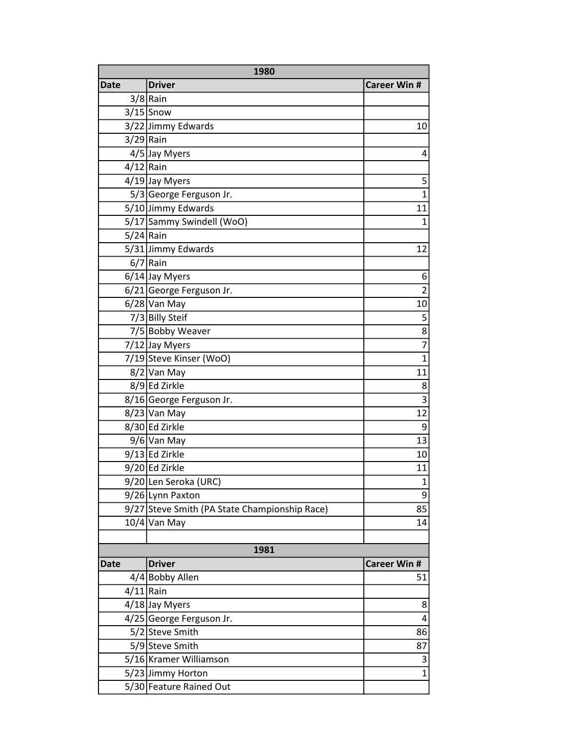| 1980        |                                               |                         |
|-------------|-----------------------------------------------|-------------------------|
| <b>Date</b> | <b>Driver</b>                                 | <b>Career Win #</b>     |
|             | $3/8$ Rain                                    |                         |
|             | $3/15$ Snow                                   |                         |
|             | 3/22 Jimmy Edwards                            | 10                      |
| $3/29$ Rain |                                               |                         |
|             | 4/5 Jay Myers                                 | 4                       |
| $4/12$ Rain |                                               |                         |
|             | $4/19$ Jay Myers                              | 5                       |
|             | 5/3 George Ferguson Jr.                       | $\overline{1}$          |
|             | 5/10 Jimmy Edwards                            | 11                      |
|             | 5/17 Sammy Swindell (WoO)                     | $\overline{1}$          |
| $5/24$ Rain |                                               |                         |
|             | 5/31 Jimmy Edwards                            | 12                      |
|             | $6/7$ Rain                                    |                         |
|             | $6/14$ Jay Myers                              | 6                       |
|             | 6/21 George Ferguson Jr.                      | $\overline{2}$          |
|             | $6/28$ Van May                                | 10                      |
|             | 7/3 Billy Steif                               | 5                       |
|             | 7/5 Bobby Weaver                              | $\overline{8}$          |
|             | 7/12 Jay Myers                                | $\overline{7}$          |
|             | 7/19 Steve Kinser (WoO)                       | $\overline{1}$          |
|             | 8/2 Van May                                   | 11                      |
|             | 8/9 Ed Zirkle                                 | 8                       |
|             | 8/16 George Ferguson Jr.                      | $\overline{3}$          |
|             | $8/23$ Van May                                | 12                      |
|             | 8/30 Ed Zirkle                                | 9                       |
|             | 9/6 Van May                                   | 13                      |
|             | 9/13 Ed Zirkle                                | 10                      |
|             | 9/20 Ed Zirkle                                | 11                      |
|             | 9/20 Len Seroka (URC)                         | $\mathbf{1}$            |
|             | 9/26 Lynn Paxton                              | 9                       |
|             | 9/27 Steve Smith (PA State Championship Race) | 85                      |
|             | 10/4 Van May                                  | 14                      |
|             |                                               |                         |
|             | 1981                                          |                         |
| <b>Date</b> | <b>Driver</b>                                 | <b>Career Win #</b>     |
|             | 4/4 Bobby Allen                               | 51                      |
| $4/11$ Rain |                                               |                         |
|             | 4/18 Jay Myers                                | 8                       |
|             | 4/25 George Ferguson Jr.                      | $\overline{\mathbf{4}}$ |
|             | 5/2 Steve Smith                               | 86                      |
|             | 5/9 Steve Smith                               | 87                      |
|             | 5/16 Kramer Williamson                        | 3                       |
|             | 5/23 Jimmy Horton                             | $\overline{1}$          |
|             | 5/30 Feature Rained Out                       |                         |
|             |                                               |                         |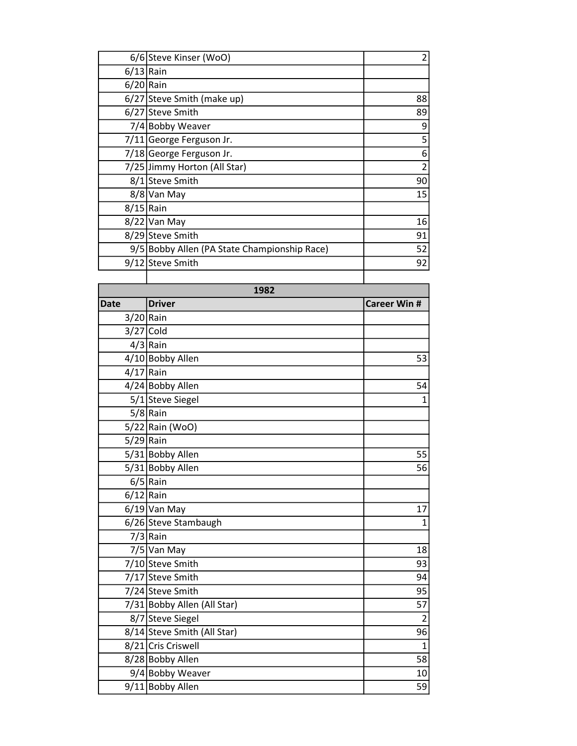| 6/6 Steve Kinser (WoO)                       |    |
|----------------------------------------------|----|
| $6/13$ Rain                                  |    |
| $6/20$  Rain                                 |    |
| 6/27 Steve Smith (make up)                   | 88 |
| 6/27 Steve Smith                             | 89 |
| 7/4 Bobby Weaver                             | 9  |
| 7/11 George Ferguson Jr.                     | 5  |
| 7/18 George Ferguson Jr.                     | 6  |
| 7/25 Jimmy Horton (All Star)                 |    |
| 8/1 Steve Smith                              | 90 |
| 8/8 Van May                                  | 15 |
| $8/15$ Rain                                  |    |
| 8/22 Van May                                 | 16 |
| 8/29 Steve Smith                             | 91 |
| 9/5 Bobby Allen (PA State Championship Race) | 52 |
| 9/12 Steve Smith                             | 92 |
|                                              |    |

| 1982        |                             |                    |
|-------------|-----------------------------|--------------------|
| <b>Date</b> | <b>Driver</b>               | <b>Career Win#</b> |
| $3/20$ Rain |                             |                    |
|             | $3/27$ Cold                 |                    |
|             | $4/3$ Rain                  |                    |
|             | 4/10 Bobby Allen            | 53                 |
| $4/17$ Rain |                             |                    |
|             | 4/24 Bobby Allen            | 54                 |
|             | 5/1 Steve Siegel            | $\mathbf{1}$       |
|             | $5/8$ Rain                  |                    |
|             | 5/22 Rain (WoO)             |                    |
| $5/29$ Rain |                             |                    |
|             | 5/31 Bobby Allen            | 55                 |
|             | 5/31 Bobby Allen            | 56                 |
|             | $6/5$ Rain                  |                    |
| $6/12$ Rain |                             |                    |
|             | $6/19$ Van May              | 17                 |
|             | 6/26 Steve Stambaugh        | $\mathbf{1}$       |
|             | $7/3$ Rain                  |                    |
|             | 7/5 Van May                 | 18                 |
|             | 7/10 Steve Smith            | 93                 |
|             | 7/17 Steve Smith            | 94                 |
|             | 7/24 Steve Smith            | 95                 |
|             | 7/31 Bobby Allen (All Star) | 57                 |
|             | 8/7 Steve Siegel            | $\overline{2}$     |
|             | 8/14 Steve Smith (All Star) | 96                 |
|             | 8/21 Cris Criswell          | $\mathbf{1}$       |
|             | 8/28 Bobby Allen            | 58                 |
|             | 9/4 Bobby Weaver            | 10                 |
|             | 9/11 Bobby Allen            | 59                 |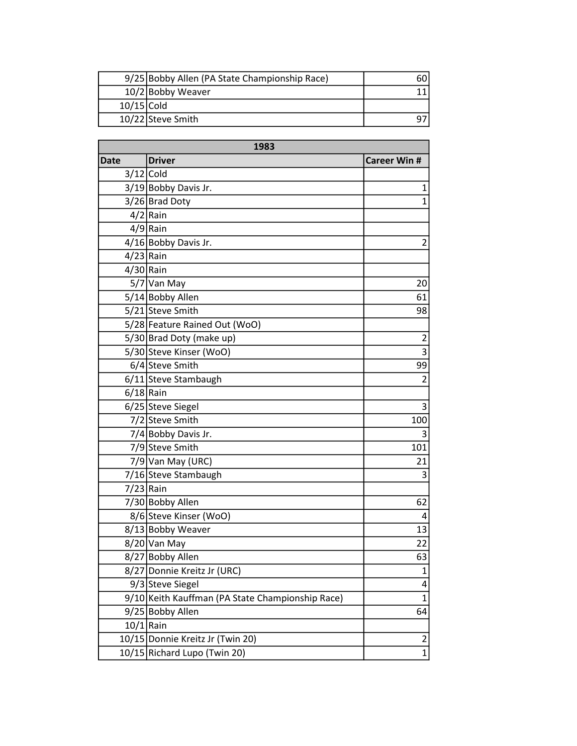|              | 9/25 Bobby Allen (PA State Championship Race) |  |
|--------------|-----------------------------------------------|--|
|              | 10/2 Bobby Weaver                             |  |
| $10/15$ Cold |                                               |  |
|              | 10/22 Steve Smith                             |  |

| 1983        |                                                  |                     |
|-------------|--------------------------------------------------|---------------------|
| <b>Date</b> | <b>Driver</b>                                    | <b>Career Win #</b> |
|             | $3/12$ Cold                                      |                     |
|             | 3/19 Bobby Davis Jr.                             | $\mathbf{1}$        |
|             | 3/26 Brad Doty                                   | $\mathbf{1}$        |
|             | $4/2$ Rain                                       |                     |
|             | $4/9$ Rain                                       |                     |
|             | 4/16 Bobby Davis Jr.                             | 2                   |
| 4/23 Rain   |                                                  |                     |
| 4/30 Rain   |                                                  |                     |
|             | 5/7 Van May                                      | 20                  |
|             | 5/14 Bobby Allen                                 | 61                  |
|             | 5/21 Steve Smith                                 | 98                  |
|             | 5/28 Feature Rained Out (WoO)                    |                     |
|             | 5/30 Brad Doty (make up)                         | $\overline{2}$      |
|             | 5/30 Steve Kinser (WoO)                          | 3                   |
|             | 6/4 Steve Smith                                  | 99                  |
|             | 6/11 Steve Stambaugh                             | $\overline{2}$      |
| $6/18$ Rain |                                                  |                     |
|             | 6/25 Steve Siegel                                | 3                   |
|             | 7/2 Steve Smith                                  | 100                 |
|             | 7/4 Bobby Davis Jr.                              | 3                   |
|             | 7/9 Steve Smith                                  | 101                 |
|             | 7/9 Van May (URC)                                | 21                  |
|             | 7/16 Steve Stambaugh                             | 3                   |
|             | 7/23 Rain                                        |                     |
|             | 7/30 Bobby Allen                                 | 62                  |
|             | 8/6 Steve Kinser (WoO)                           | 4                   |
|             | 8/13 Bobby Weaver                                | 13                  |
|             | 8/20 Van May                                     | 22                  |
|             | 8/27 Bobby Allen                                 | 63                  |
| 8/27        | Donnie Kreitz Jr (URC)                           | 1                   |
|             | 9/3 Steve Siegel                                 | 4                   |
|             | 9/10 Keith Kauffman (PA State Championship Race) | $\mathbf 1$         |
|             | 9/25 Bobby Allen                                 | 64                  |
| $10/1$ Rain |                                                  |                     |
|             | 10/15 Donnie Kreitz Jr (Twin 20)                 | 2                   |
|             | 10/15 Richard Lupo (Twin 20)                     | 1                   |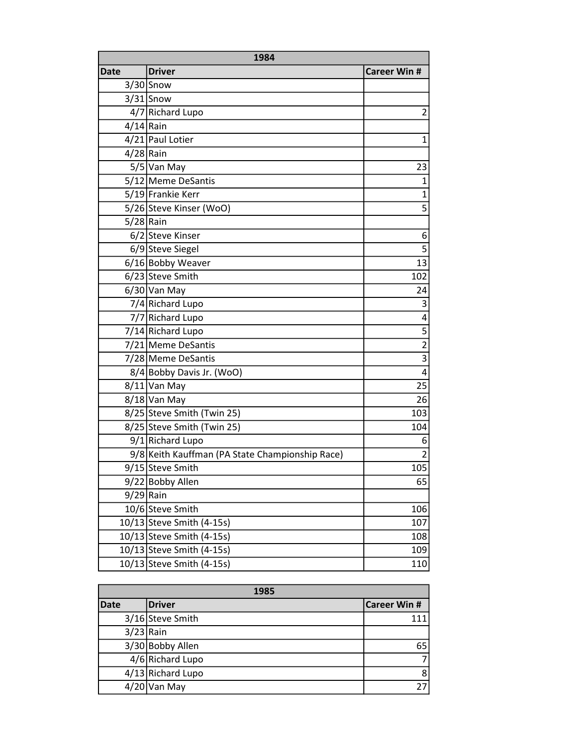| 1984        |                                                 |                         |
|-------------|-------------------------------------------------|-------------------------|
| <b>Date</b> | <b>Driver</b>                                   | <b>Career Win #</b>     |
|             | $3/30$ Snow                                     |                         |
|             | $3/31$ Snow                                     |                         |
|             | 4/7 Richard Lupo                                | $\overline{2}$          |
| $4/14$ Rain |                                                 |                         |
|             | 4/21 Paul Lotier                                | 1                       |
| $4/28$ Rain |                                                 |                         |
|             | 5/5 Van May                                     | 23                      |
|             | 5/12 Meme DeSantis                              | $\mathbf 1$             |
|             | 5/19 Frankie Kerr                               | $\overline{1}$          |
|             | 5/26 Steve Kinser (WoO)                         | $\overline{5}$          |
| $5/28$ Rain |                                                 |                         |
|             | 6/2 Steve Kinser                                | 6                       |
|             | 6/9 Steve Siegel                                | $\overline{5}$          |
|             | 6/16 Bobby Weaver                               | 13                      |
|             | 6/23 Steve Smith                                | 102                     |
|             | $6/30$ Van May                                  | 24                      |
|             | 7/4 Richard Lupo                                | 3                       |
|             | 7/7 Richard Lupo                                | $\overline{\mathbf{4}}$ |
|             | 7/14 Richard Lupo                               | 5                       |
|             | 7/21 Meme DeSantis                              | $\overline{2}$          |
|             | 7/28 Meme DeSantis                              | $\overline{3}$          |
|             | 8/4 Bobby Davis Jr. (WoO)                       | $\overline{\mathbf{4}}$ |
|             | $8/11$ Van May                                  | 25                      |
|             | 8/18 Van May                                    | 26                      |
|             | 8/25 Steve Smith (Twin 25)                      | 103                     |
|             | 8/25 Steve Smith (Twin 25)                      | 104                     |
|             | 9/1 Richard Lupo                                | 6                       |
|             | 9/8 Keith Kauffman (PA State Championship Race) | $\overline{2}$          |
|             | 9/15 Steve Smith                                | 105                     |
|             | 9/22 Bobby Allen                                | 65                      |
| $9/29$ Rain |                                                 |                         |
|             | 10/6 Steve Smith                                | 106                     |
|             | 10/13 Steve Smith (4-15s)                       | 107                     |
|             | 10/13 Steve Smith (4-15s)                       | 108                     |
|             | 10/13 Steve Smith (4-15s)                       | 109                     |
|             | 10/13 Steve Smith (4-15s)                       | 110                     |

| 1985        |                   |              |
|-------------|-------------------|--------------|
| <b>Date</b> | <b>Driver</b>     | Career Win # |
|             | 3/16 Steve Smith  | 111          |
| $3/23$ Rain |                   |              |
|             | 3/30 Bobby Allen  | 65           |
|             | 4/6 Richard Lupo  |              |
|             | 4/13 Richard Lupo | 8            |
|             | $4/20$ Van May    |              |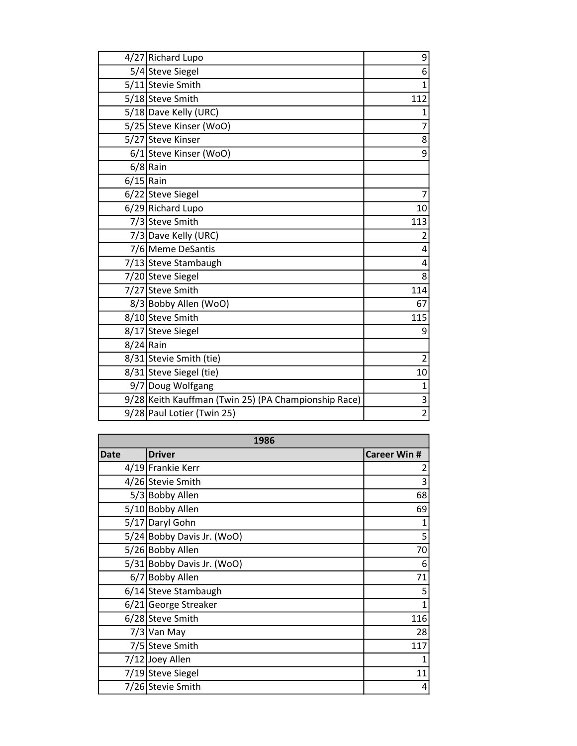|             | 4/27 Richard Lupo                                    | 9              |
|-------------|------------------------------------------------------|----------------|
|             | 5/4 Steve Siegel                                     | 6              |
|             | 5/11 Stevie Smith                                    | $\overline{1}$ |
|             | 5/18 Steve Smith                                     | 112            |
|             | 5/18 Dave Kelly (URC)                                | 1              |
|             | 5/25 Steve Kinser (WoO)                              | 7              |
|             | 5/27 Steve Kinser                                    | 8              |
|             | 6/1 Steve Kinser (WoO)                               | 9              |
|             | $6/8$ Rain                                           |                |
| $6/15$ Rain |                                                      |                |
|             | 6/22 Steve Siegel                                    | 7              |
|             | 6/29 Richard Lupo                                    | 10             |
|             | 7/3 Steve Smith                                      | 113            |
|             | 7/3 Dave Kelly (URC)                                 | 2              |
|             | 7/6 Meme DeSantis                                    | 4              |
|             | 7/13 Steve Stambaugh                                 | 4              |
|             | 7/20 Steve Siegel                                    | 8              |
|             | 7/27 Steve Smith                                     | 114            |
|             | 8/3 Bobby Allen (WoO)                                | 67             |
|             | 8/10 Steve Smith                                     | 115            |
|             | 8/17 Steve Siegel                                    | 9              |
| $8/24$ Rain |                                                      |                |
|             | 8/31 Stevie Smith (tie)                              | 2              |
|             | 8/31 Steve Siegel (tie)                              | 10             |
|             | 9/7 Doug Wolfgang                                    | $\mathbf{1}$   |
|             | 9/28 Keith Kauffman (Twin 25) (PA Championship Race) | $\overline{3}$ |
|             | 9/28 Paul Lotier (Twin 25)                           | $\overline{2}$ |

| 1986        |                            |                     |
|-------------|----------------------------|---------------------|
| <b>Date</b> | <b>Driver</b>              | <b>Career Win #</b> |
|             | 4/19 Frankie Kerr          | 2                   |
|             | 4/26 Stevie Smith          | 3                   |
|             | 5/3 Bobby Allen            | 68                  |
|             | 5/10 Bobby Allen           | 69                  |
|             | 5/17 Daryl Gohn            | 1                   |
|             | 5/24 Bobby Davis Jr. (WoO) | 5                   |
|             | 5/26 Bobby Allen           | 70                  |
|             | 5/31 Bobby Davis Jr. (WoO) | 6                   |
|             | 6/7 Bobby Allen            | 71                  |
|             | 6/14 Steve Stambaugh       | 5                   |
|             | 6/21 George Streaker       | $\overline{1}$      |
|             | 6/28 Steve Smith           | 116                 |
|             | 7/3 Van May                | 28                  |
|             | 7/5 Steve Smith            | 117                 |
|             | 7/12 Joey Allen            |                     |
|             | 7/19 Steve Siegel          | 11                  |
|             | 7/26 Stevie Smith          | 4                   |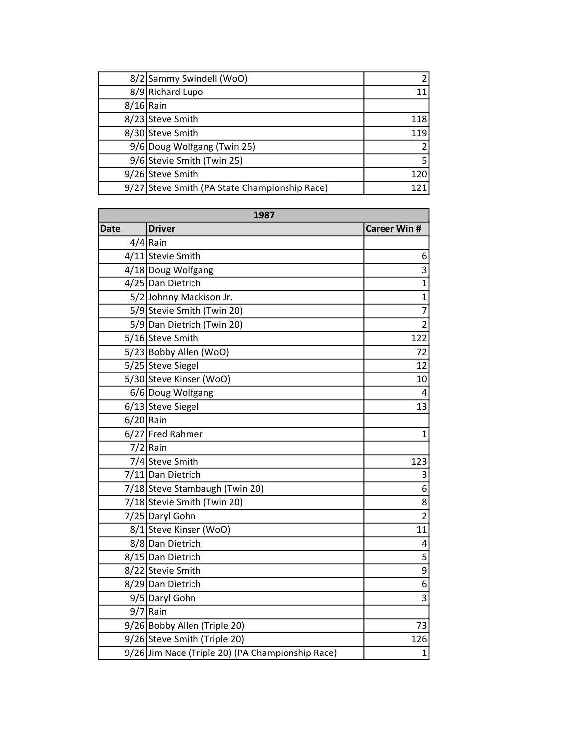|             | 8/2 Sammy Swindell (WoO)                      |     |
|-------------|-----------------------------------------------|-----|
|             | 8/9 Richard Lupo                              |     |
| $8/16$ Rain |                                               |     |
|             | 8/23 Steve Smith                              | 118 |
|             | 8/30 Steve Smith                              | 119 |
|             | 9/6 Doug Wolfgang (Twin 25)                   |     |
|             | 9/6 Stevie Smith (Twin 25)                    |     |
|             | 9/26 Steve Smith                              | 120 |
|             | 9/27 Steve Smith (PA State Championship Race) | 121 |

| 1987        |                                                  |                         |
|-------------|--------------------------------------------------|-------------------------|
| <b>Date</b> | <b>Driver</b>                                    | <b>Career Win #</b>     |
|             | $4/4$ Rain                                       |                         |
|             | 4/11 Stevie Smith                                | 6                       |
|             | 4/18 Doug Wolfgang                               | $\overline{3}$          |
|             | 4/25 Dan Dietrich                                | $\overline{1}$          |
|             | 5/2 Johnny Mackison Jr.                          | $\overline{1}$          |
|             | 5/9 Stevie Smith (Twin 20)                       | $\overline{7}$          |
|             | 5/9 Dan Dietrich (Twin 20)                       | $\overline{2}$          |
|             | 5/16 Steve Smith                                 | 122                     |
|             | 5/23 Bobby Allen (WoO)                           | 72                      |
|             | 5/25 Steve Siegel                                | 12                      |
|             | 5/30 Steve Kinser (WoO)                          | 10                      |
|             | 6/6 Doug Wolfgang                                | 4                       |
|             | 6/13 Steve Siegel                                | 13                      |
| $6/20$ Rain |                                                  |                         |
|             | 6/27 Fred Rahmer                                 | $\mathbf{1}$            |
|             | $7/2$ Rain                                       |                         |
|             | 7/4 Steve Smith                                  | 123                     |
|             | 7/11 Dan Dietrich                                | 3                       |
|             | 7/18 Steve Stambaugh (Twin 20)                   | 6                       |
|             | 7/18 Stevie Smith (Twin 20)                      | 8                       |
|             | 7/25 Daryl Gohn                                  | $\overline{2}$          |
|             | 8/1 Steve Kinser (WoO)                           | 11                      |
|             | 8/8 Dan Dietrich                                 | 4                       |
|             | 8/15 Dan Dietrich                                | $\overline{5}$          |
|             | 8/22 Stevie Smith                                | $\overline{9}$          |
|             | 8/29 Dan Dietrich                                | $\overline{6}$          |
|             | 9/5 Daryl Gohn                                   | $\overline{\mathbf{3}}$ |
|             | $9/7$ Rain                                       |                         |
|             | 9/26 Bobby Allen (Triple 20)                     | 73                      |
|             | 9/26 Steve Smith (Triple 20)                     | 126                     |
|             | 9/26 Jim Nace (Triple 20) (PA Championship Race) | $\overline{1}$          |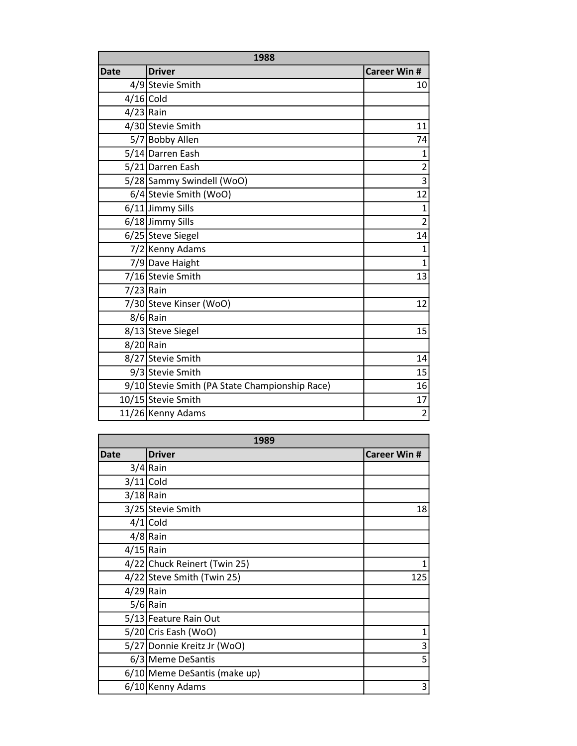| 1988        |                                                |                     |
|-------------|------------------------------------------------|---------------------|
| <b>Date</b> | <b>Driver</b>                                  | <b>Career Win #</b> |
|             | 4/9 Stevie Smith                               | 10                  |
| $4/16$ Cold |                                                |                     |
| $4/23$ Rain |                                                |                     |
|             | 4/30 Stevie Smith                              | 11                  |
|             | 5/7 Bobby Allen                                | 74                  |
|             | 5/14 Darren Eash                               | $\overline{1}$      |
|             | 5/21 Darren Eash                               | $\overline{2}$      |
|             | 5/28 Sammy Swindell (WoO)                      | $\overline{3}$      |
|             | 6/4 Stevie Smith (WoO)                         | 12                  |
|             | 6/11 Jimmy Sills                               | $\overline{1}$      |
|             | 6/18 Jimmy Sills                               | $\overline{2}$      |
|             | 6/25 Steve Siegel                              | 14                  |
|             | 7/2 Kenny Adams                                | $\overline{1}$      |
|             | 7/9 Dave Haight                                | $\overline{1}$      |
|             | 7/16 Stevie Smith                              | 13                  |
| $7/23$ Rain |                                                |                     |
|             | 7/30 Steve Kinser (WoO)                        | 12                  |
|             | $8/6$ Rain                                     |                     |
|             | 8/13 Steve Siegel                              | 15                  |
| 8/20 Rain   |                                                |                     |
|             | 8/27 Stevie Smith                              | 14                  |
|             | 9/3 Stevie Smith                               | 15                  |
|             | 9/10 Stevie Smith (PA State Championship Race) | 16                  |
|             | 10/15 Stevie Smith                             | 17                  |
|             | 11/26 Kenny Adams                              | $\overline{2}$      |

| 1989        |                              |                     |
|-------------|------------------------------|---------------------|
| <b>Date</b> | Driver                       | <b>Career Win #</b> |
|             | $3/4$ Rain                   |                     |
|             | $3/11$ Cold                  |                     |
| $3/18$ Rain |                              |                     |
|             | 3/25 Stevie Smith            | 18                  |
|             | $4/1$ Cold                   |                     |
|             | $4/8$ Rain                   |                     |
| $4/15$ Rain |                              |                     |
|             | 4/22 Chuck Reinert (Twin 25) |                     |
|             | 4/22 Steve Smith (Twin 25)   | 125                 |
| $4/29$ Rain |                              |                     |
|             | $5/6$ Rain                   |                     |
|             | 5/13 Feature Rain Out        |                     |
|             | 5/20 Cris Eash (WoO)         | 1                   |
|             | 5/27 Donnie Kreitz Jr (WoO)  | 3                   |
|             | 6/3 Meme DeSantis            | 5                   |
|             | 6/10 Meme DeSantis (make up) |                     |
|             | 6/10 Kenny Adams             | 3                   |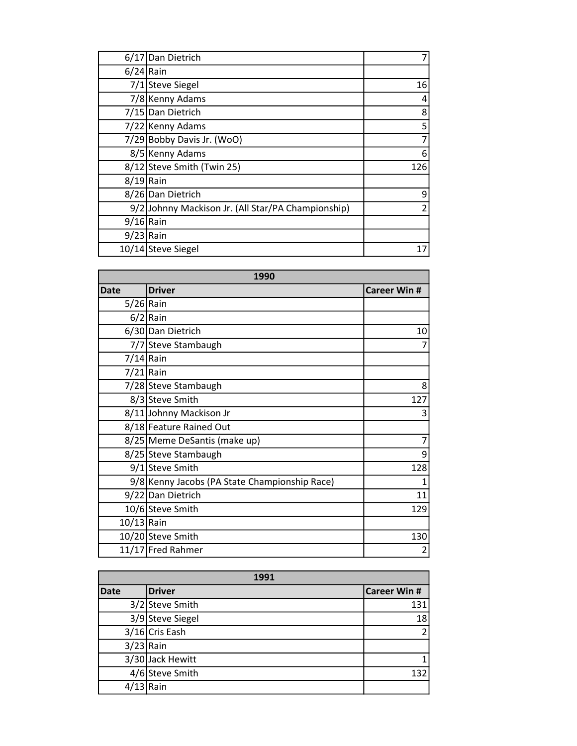|             | 6/17 Dan Dietrich                                  |     |
|-------------|----------------------------------------------------|-----|
| $6/24$ Rain |                                                    |     |
|             | 7/1 Steve Siegel                                   | 16  |
|             | 7/8 Kenny Adams                                    | 4   |
|             | 7/15 Dan Dietrich                                  | 8   |
|             | 7/22 Kenny Adams                                   | 5   |
|             | 7/29 Bobby Davis Jr. (WoO)                         | 7   |
|             | 8/5 Kenny Adams                                    | 6   |
|             | 8/12 Steve Smith (Twin 25)                         | 126 |
| $8/19$ Rain |                                                    |     |
|             | 8/26 Dan Dietrich                                  | 9   |
|             | 9/2 Johnny Mackison Jr. (All Star/PA Championship) | 2   |
| $9/16$ Rain |                                                    |     |
| $9/23$ Rain |                                                    |     |
|             | 10/14 Steve Siegel                                 | 17  |

| 1990         |                                               |                     |
|--------------|-----------------------------------------------|---------------------|
| <b>Date</b>  | <b>Driver</b>                                 | <b>Career Win #</b> |
| $5/26$  Rain |                                               |                     |
|              | $6/2$ Rain                                    |                     |
|              | 6/30 Dan Dietrich                             | 10                  |
|              | 7/7 Steve Stambaugh                           | 7                   |
| $7/14$ Rain  |                                               |                     |
| $7/21$ Rain  |                                               |                     |
|              | 7/28 Steve Stambaugh                          | 8                   |
|              | 8/3 Steve Smith                               | 127                 |
|              | 8/11 Johnny Mackison Jr                       | 3                   |
|              | 8/18 Feature Rained Out                       |                     |
|              | 8/25 Meme DeSantis (make up)                  | 7                   |
|              | 8/25 Steve Stambaugh                          | 9                   |
|              | 9/1 Steve Smith                               | 128                 |
|              | 9/8 Kenny Jacobs (PA State Championship Race) | 1                   |
|              | 9/22 Dan Dietrich                             | 11                  |
|              | 10/6 Steve Smith                              | 129                 |
| $10/13$ Rain |                                               |                     |
|              | 10/20 Steve Smith                             | 130                 |
|              | 11/17 Fred Rahmer                             | $\overline{2}$      |

| 1991        |                  |                     |
|-------------|------------------|---------------------|
| <b>Date</b> | <b>Driver</b>    | <b>Career Win #</b> |
|             | 3/2 Steve Smith  | 131                 |
|             | 3/9 Steve Siegel | 18                  |
|             | 3/16 Cris Eash   | $\overline{2}$      |
| $3/23$ Rain |                  |                     |
|             | 3/30 Jack Hewitt | 1                   |
|             | 4/6 Steve Smith  | 132                 |
| $4/13$ Rain |                  |                     |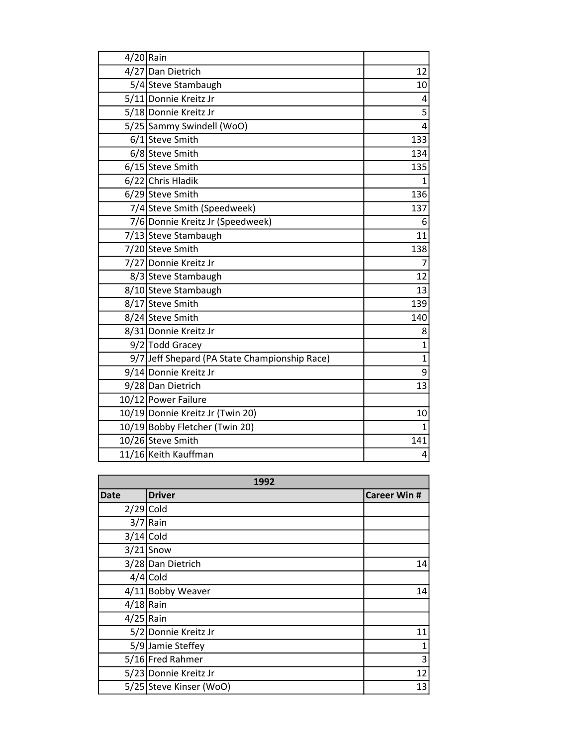| $4/20$ Rain |                                               |                |
|-------------|-----------------------------------------------|----------------|
|             | 4/27 Dan Dietrich                             | 12             |
|             | 5/4 Steve Stambaugh                           | 10             |
|             | 5/11 Donnie Kreitz Jr                         | 4              |
|             | 5/18 Donnie Kreitz Jr                         | 5              |
|             | 5/25 Sammy Swindell (WoO)                     | 4              |
|             | 6/1 Steve Smith                               | 133            |
|             | 6/8 Steve Smith                               | 134            |
|             | 6/15 Steve Smith                              | 135            |
|             | 6/22 Chris Hladik                             | 1              |
|             | 6/29 Steve Smith                              | 136            |
|             | 7/4 Steve Smith (Speedweek)                   | 137            |
|             | 7/6 Donnie Kreitz Jr (Speedweek)              | 6              |
|             | 7/13 Steve Stambaugh                          | 11             |
|             | 7/20 Steve Smith                              | 138            |
|             | 7/27 Donnie Kreitz Jr                         | $\overline{7}$ |
|             | 8/3 Steve Stambaugh                           | 12             |
|             | 8/10 Steve Stambaugh                          | 13             |
|             | 8/17 Steve Smith                              | 139            |
|             | 8/24 Steve Smith                              | 140            |
|             | 8/31 Donnie Kreitz Jr                         | 8              |
|             | 9/2 Todd Gracey                               | $\overline{1}$ |
|             | 9/7 Jeff Shepard (PA State Championship Race) | $\overline{1}$ |
|             | 9/14 Donnie Kreitz Jr                         | 9              |
|             | 9/28 Dan Dietrich                             | 13             |
|             | 10/12 Power Failure                           |                |
|             | 10/19 Donnie Kreitz Jr (Twin 20)              | 10             |
|             | 10/19 Bobby Fletcher (Twin 20)                | $\mathbf{1}$   |
|             | 10/26 Steve Smith                             | 141            |
|             | 11/16 Keith Kauffman                          | 4              |

| 1992        |                         |                     |
|-------------|-------------------------|---------------------|
| <b>Date</b> | <b>Driver</b>           | <b>Career Win #</b> |
| $2/29$ Cold |                         |                     |
|             | $3/7$ Rain              |                     |
|             | $3/14$ Cold             |                     |
|             | $3/21$ Snow             |                     |
|             | 3/28 Dan Dietrich       | 14                  |
|             | $4/4$ Cold              |                     |
|             | 4/11 Bobby Weaver       | 14                  |
| $4/18$ Rain |                         |                     |
| $4/25$ Rain |                         |                     |
|             | 5/2 Donnie Kreitz Jr    | 11                  |
|             | 5/9 Jamie Steffey       | 1                   |
|             | 5/16 Fred Rahmer        | 3                   |
|             | 5/23 Donnie Kreitz Jr   | 12                  |
|             | 5/25 Steve Kinser (WoO) | 13                  |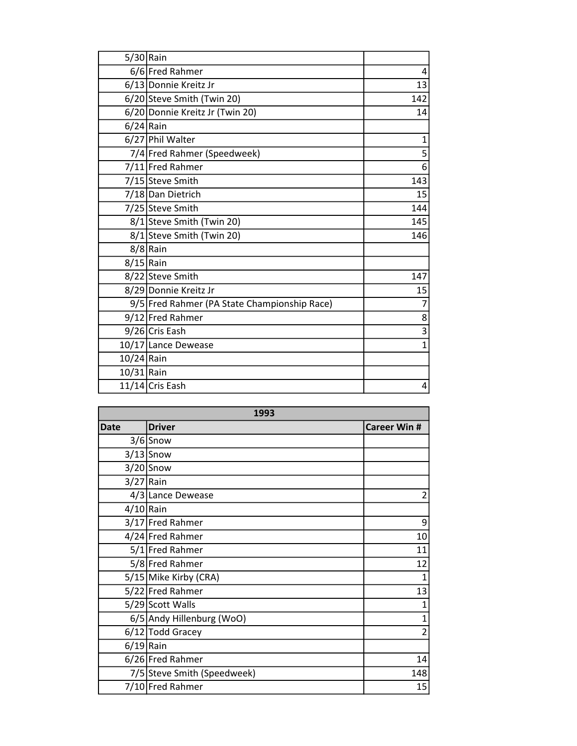| $5/30$ Rain  |                                              |              |
|--------------|----------------------------------------------|--------------|
|              | 6/6 Fred Rahmer                              | 4            |
|              | 6/13 Donnie Kreitz Jr                        | 13           |
|              | 6/20 Steve Smith (Twin 20)                   | 142          |
|              | 6/20 Donnie Kreitz Jr (Twin 20)              | 14           |
| $6/24$ Rain  |                                              |              |
|              | 6/27 Phil Walter                             | $\mathbf 1$  |
|              | 7/4 Fred Rahmer (Speedweek)                  | 5            |
|              | 7/11 Fred Rahmer                             | 6            |
|              | 7/15 Steve Smith                             | 143          |
|              | 7/18 Dan Dietrich                            | 15           |
|              | 7/25 Steve Smith                             | 144          |
|              | 8/1 Steve Smith (Twin 20)                    | 145          |
|              | 8/1 Steve Smith (Twin 20)                    | 146          |
|              | $8/8$ Rain                                   |              |
| $8/15$ Rain  |                                              |              |
|              | 8/22 Steve Smith                             | 147          |
|              | 8/29 Donnie Kreitz Jr                        | 15           |
|              | 9/5 Fred Rahmer (PA State Championship Race) | 7            |
|              | 9/12 Fred Rahmer                             | 8            |
|              | 9/26 Cris Eash                               | 3            |
|              | 10/17 Lance Dewease                          | $\mathbf{1}$ |
| $10/24$ Rain |                                              |              |
| 10/31 Rain   |                                              |              |
|              | $11/14$ Cris Eash                            | 4            |

| 1993        |                             |                    |
|-------------|-----------------------------|--------------------|
| <b>Date</b> | <b>Driver</b>               | <b>Career Win#</b> |
|             | $3/6$ Snow                  |                    |
|             | $3/13$ Snow                 |                    |
|             | $3/20$ Snow                 |                    |
| $3/27$ Rain |                             |                    |
|             | 4/3 Lance Dewease           | $\overline{2}$     |
| $4/10$ Rain |                             |                    |
|             | 3/17 Fred Rahmer            | 9                  |
|             | 4/24 Fred Rahmer            | 10                 |
|             | 5/1 Fred Rahmer             | 11                 |
|             | 5/8 Fred Rahmer             | 12                 |
|             | 5/15 Mike Kirby (CRA)       | $\overline{1}$     |
|             | 5/22 Fred Rahmer            | 13                 |
|             | 5/29 Scott Walls            | $\mathbf{1}$       |
|             | 6/5 Andy Hillenburg (WoO)   | $\mathbf{1}$       |
|             | 6/12 Todd Gracey            | $\overline{2}$     |
| $6/19$ Rain |                             |                    |
|             | 6/26 Fred Rahmer            | 14                 |
|             | 7/5 Steve Smith (Speedweek) | 148                |
|             | 7/10 Fred Rahmer            | 15                 |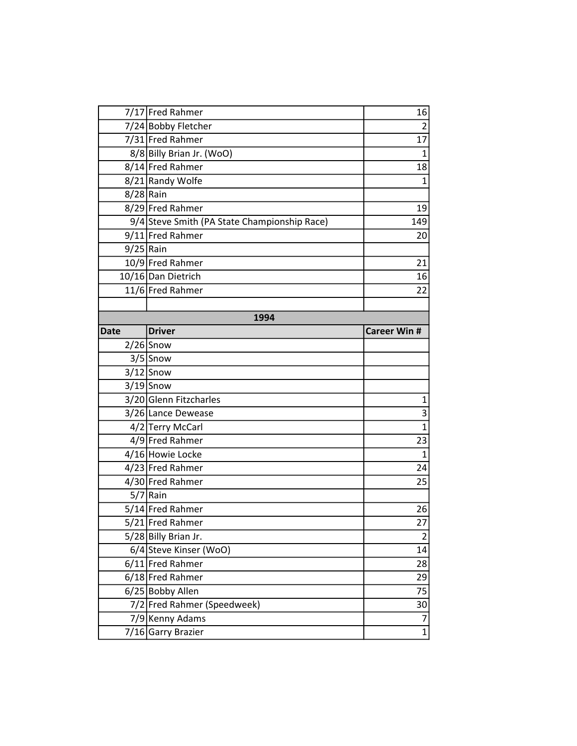|             | 7/17 Fred Rahmer                             | 16                  |
|-------------|----------------------------------------------|---------------------|
|             | 7/24 Bobby Fletcher                          | $\overline{2}$      |
|             | 7/31 Fred Rahmer                             | 17                  |
|             | 8/8 Billy Brian Jr. (WoO)                    | $\mathbf{1}$        |
|             | 8/14 Fred Rahmer                             | 18                  |
|             | 8/21 Randy Wolfe                             | $\mathbf{1}$        |
|             | $8/28$ Rain                                  |                     |
|             | 8/29 Fred Rahmer                             | 19                  |
|             | 9/4 Steve Smith (PA State Championship Race) | 149                 |
|             | 9/11 Fred Rahmer                             | 20                  |
|             | $9/25$ Rain                                  |                     |
|             | 10/9 Fred Rahmer                             | 21                  |
|             | 10/16 Dan Dietrich                           | 16                  |
|             | 11/6 Fred Rahmer                             | 22                  |
|             |                                              |                     |
|             | 1994                                         |                     |
| <b>Date</b> | <b>Driver</b>                                | <b>Career Win #</b> |
|             | $2/26$ Snow                                  |                     |
|             | $3/5$ Snow                                   |                     |
|             | $3/12$ Snow                                  |                     |
|             | $3/19$ Snow                                  |                     |
|             | 3/20 Glenn Fitzcharles                       | $\mathbf 1$         |
|             | 3/26 Lance Dewease                           | $\overline{3}$      |
|             | 4/2 Terry McCarl                             | $\mathbf{1}$        |
|             | 4/9 Fred Rahmer                              | 23                  |
|             | 4/16 Howie Locke                             | $\mathbf{1}$        |
|             | 4/23 Fred Rahmer                             | 24                  |
|             | 4/30 Fred Rahmer                             | 25                  |
|             | $5/7$ Rain                                   |                     |
|             | 5/14 Fred Rahmer                             | 26                  |
|             | 5/21 Fred Rahmer                             | 27                  |
|             | 5/28 Billy Brian Jr.                         | $\mathbf 2$         |
|             | 6/4 Steve Kinser (WoO)                       | 14                  |
|             | 6/11 Fred Rahmer                             | 28                  |
|             | 6/18 Fred Rahmer                             | 29                  |
|             | 6/25 Bobby Allen                             | 75                  |
|             | 7/2 Fred Rahmer (Speedweek)                  | 30                  |
|             | 7/9 Kenny Adams                              | 7                   |
|             | 7/16 Garry Brazier                           | $\mathbf{1}$        |
|             |                                              |                     |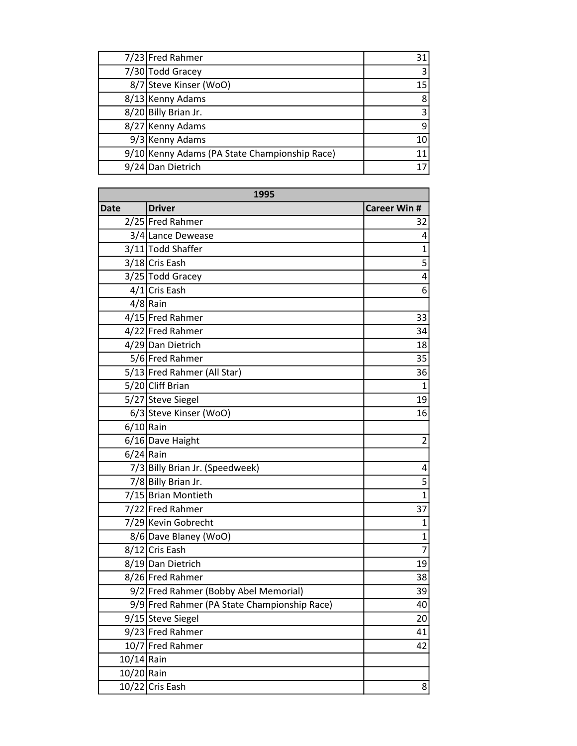| 7/23 Fred Rahmer                              | 31 |
|-----------------------------------------------|----|
| 7/30 Todd Gracey                              |    |
| 8/7 Steve Kinser (WoO)                        | 15 |
| 8/13 Kenny Adams                              | 8  |
| 8/20 Billy Brian Jr.                          |    |
| 8/27 Kenny Adams                              |    |
| 9/3 Kenny Adams                               | 10 |
| 9/10 Kenny Adams (PA State Championship Race) |    |
| 9/24 Dan Dietrich                             |    |

| 1995         |                                              |                     |
|--------------|----------------------------------------------|---------------------|
| <b>Date</b>  | <b>Driver</b>                                | <b>Career Win #</b> |
|              | 2/25 Fred Rahmer                             | 32                  |
|              | 3/4 Lance Dewease                            | 4                   |
|              | 3/11 Todd Shaffer                            | $\mathbf{1}$        |
|              | 3/18 Cris Eash                               | 5                   |
|              | 3/25 Todd Gracey                             | 4                   |
|              | 4/1 Cris Eash                                | 6                   |
|              | $4/8$ Rain                                   |                     |
|              | 4/15 Fred Rahmer                             | 33                  |
|              | 4/22 Fred Rahmer                             | 34                  |
|              | 4/29 Dan Dietrich                            | 18                  |
|              | 5/6 Fred Rahmer                              | 35                  |
|              | 5/13 Fred Rahmer (All Star)                  | 36                  |
|              | 5/20 Cliff Brian                             | 1                   |
|              | 5/27 Steve Siegel                            | 19                  |
|              | 6/3 Steve Kinser (WoO)                       | 16                  |
| $6/10$ Rain  |                                              |                     |
|              | 6/16 Dave Haight                             | $\overline{2}$      |
| $6/24$ Rain  |                                              |                     |
|              | 7/3 Billy Brian Jr. (Speedweek)              | 4                   |
|              | 7/8 Billy Brian Jr.                          | $\frac{5}{1}$       |
|              | 7/15 Brian Montieth                          |                     |
|              | 7/22 Fred Rahmer                             | 37                  |
|              | 7/29 Kevin Gobrecht                          | 1                   |
|              | 8/6 Dave Blaney (WoO)                        | $\mathbf{1}$        |
|              | 8/12 Cris Eash                               | $\overline{7}$      |
|              | 8/19Dan Dietrich                             | 19                  |
|              | 8/26 Fred Rahmer                             | 38                  |
|              | 9/2 Fred Rahmer (Bobby Abel Memorial)        | 39                  |
|              | 9/9 Fred Rahmer (PA State Championship Race) | 40                  |
|              | 9/15 Steve Siegel                            | 20                  |
|              | 9/23 Fred Rahmer                             | 41                  |
|              | 10/7 Fred Rahmer                             | 42                  |
| $10/14$ Rain |                                              |                     |
| 10/20 Rain   |                                              |                     |
|              | 10/22 Cris Eash                              | 8                   |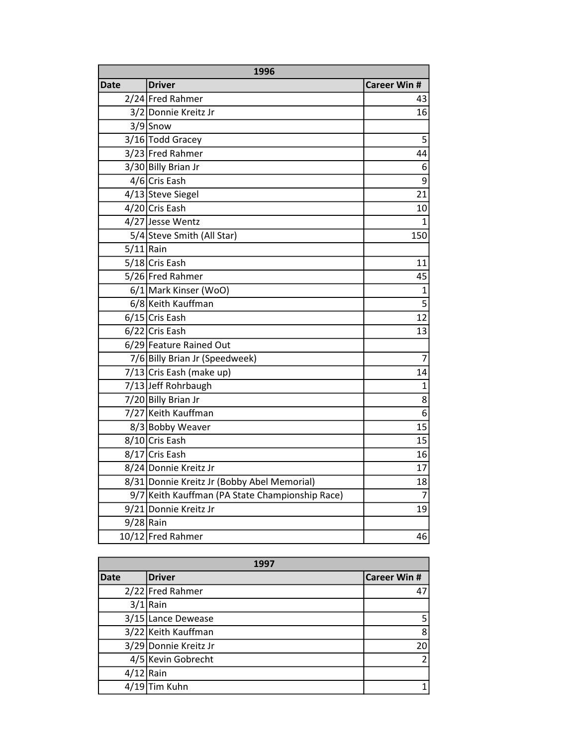| 1996        |                                                 |                     |
|-------------|-------------------------------------------------|---------------------|
| Date        | <b>Driver</b>                                   | <b>Career Win #</b> |
|             | 2/24 Fred Rahmer                                | 43                  |
|             | 3/2 Donnie Kreitz Jr                            | 16                  |
|             | $3/9$ Snow                                      |                     |
|             | 3/16 Todd Gracey                                | 5                   |
|             | 3/23 Fred Rahmer                                | 44                  |
|             | 3/30 Billy Brian Jr                             | 6                   |
|             | 4/6 Cris Eash                                   | 9                   |
|             | 4/13 Steve Siegel                               | 21                  |
|             | 4/20 Cris Eash                                  | 10                  |
|             | 4/27 Jesse Wentz                                | $\mathbf{1}$        |
|             | 5/4 Steve Smith (All Star)                      | 150                 |
| $5/11$ Rain |                                                 |                     |
|             | 5/18 Cris Eash                                  | 11                  |
|             | 5/26 Fred Rahmer                                | 45                  |
|             | 6/1 Mark Kinser (WoO)                           | $\overline{1}$      |
|             | 6/8 Keith Kauffman                              | $\overline{5}$      |
|             | 6/15 Cris Eash                                  | $\overline{12}$     |
|             | $6/22$ Cris Eash                                | 13                  |
|             | 6/29 Feature Rained Out                         |                     |
|             | 7/6 Billy Brian Jr (Speedweek)                  | 7                   |
|             | 7/13 Cris Eash (make up)                        | 14                  |
|             | 7/13 Jeff Rohrbaugh                             | $\mathbf{1}$        |
|             | 7/20 Billy Brian Jr                             | $\overline{8}$      |
|             | 7/27 Keith Kauffman                             | 6                   |
|             | 8/3 Bobby Weaver                                | 15                  |
|             | 8/10 Cris Eash                                  | 15                  |
|             | 8/17 Cris Eash                                  | 16                  |
|             | 8/24 Donnie Kreitz Jr                           | 17                  |
|             | 8/31 Donnie Kreitz Jr (Bobby Abel Memorial)     | 18                  |
|             | 9/7 Keith Kauffman (PA State Championship Race) | $\overline{7}$      |
|             | 9/21 Donnie Kreitz Jr                           | 19                  |
| $9/28$ Rain |                                                 |                     |
|             | 10/12 Fred Rahmer                               | 46                  |

| 1997        |                       |                     |
|-------------|-----------------------|---------------------|
| <b>Date</b> | <b>Driver</b>         | <b>Career Win #</b> |
|             | 2/22 Fred Rahmer      | 47                  |
|             | $3/1$ Rain            |                     |
|             | 3/15 Lance Dewease    | 5                   |
|             | 3/22 Keith Kauffman   | 8                   |
|             | 3/29 Donnie Kreitz Jr | 20                  |
|             | 4/5 Kevin Gobrecht    | $\mathfrak{p}$      |
| $4/12$ Rain |                       |                     |
|             | $4/19$ Tim Kuhn       |                     |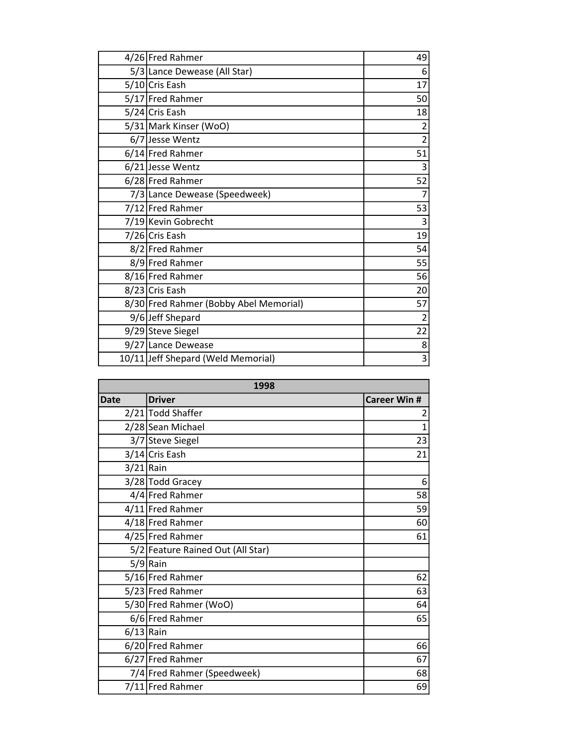| 4/26 Fred Rahmer                       | 49             |
|----------------------------------------|----------------|
| 5/3 Lance Dewease (All Star)           | 6              |
| 5/10 Cris Eash                         | 17             |
| 5/17 Fred Rahmer                       | 50             |
| 5/24 Cris Eash                         | 18             |
| 5/31 Mark Kinser (WoO)                 | 2              |
| 6/7 Jesse Wentz                        | $\overline{2}$ |
| 6/14 Fred Rahmer                       | 51             |
| $6/21$ Jesse Wentz                     | 3              |
| 6/28 Fred Rahmer                       | 52             |
| 7/3 Lance Dewease (Speedweek)          |                |
| 7/12 Fred Rahmer                       | 53             |
| 7/19 Kevin Gobrecht                    | 3              |
| 7/26 Cris Eash                         | 19             |
| 8/2 Fred Rahmer                        | 54             |
| 8/9 Fred Rahmer                        | 55             |
| 8/16 Fred Rahmer                       | 56             |
| 8/23 Cris Eash                         | 20             |
| 8/30 Fred Rahmer (Bobby Abel Memorial) | 57             |
| 9/6 Jeff Shepard                       | $\overline{2}$ |
| 9/29 Steve Siegel                      | 22             |
| 9/27 Lance Dewease                     | 8              |
| 10/11 Jeff Shepard (Weld Memorial)     | 3              |

| 1998        |                                   |                     |
|-------------|-----------------------------------|---------------------|
| <b>Date</b> | <b>Driver</b>                     | <b>Career Win #</b> |
|             | 2/21 Todd Shaffer                 | 2                   |
|             | 2/28 Sean Michael                 | $\overline{1}$      |
|             | 3/7 Steve Siegel                  | 23                  |
|             | 3/14 Cris Eash                    | 21                  |
| $3/21$ Rain |                                   |                     |
|             | 3/28 Todd Gracey                  | 6                   |
|             | 4/4 Fred Rahmer                   | 58                  |
|             | 4/11 Fred Rahmer                  | 59                  |
|             | 4/18 Fred Rahmer                  | 60                  |
|             | 4/25 Fred Rahmer                  | 61                  |
|             | 5/2 Feature Rained Out (All Star) |                     |
|             | $5/9$ Rain                        |                     |
|             | 5/16 Fred Rahmer                  | 62                  |
|             | 5/23 Fred Rahmer                  | 63                  |
|             | 5/30 Fred Rahmer (WoO)            | 64                  |
|             | 6/6 Fred Rahmer                   | 65                  |
| $6/13$ Rain |                                   |                     |
|             | 6/20 Fred Rahmer                  | 66                  |
|             | 6/27 Fred Rahmer                  | 67                  |
|             | 7/4 Fred Rahmer (Speedweek)       | 68                  |
|             | 7/11 Fred Rahmer                  | 69                  |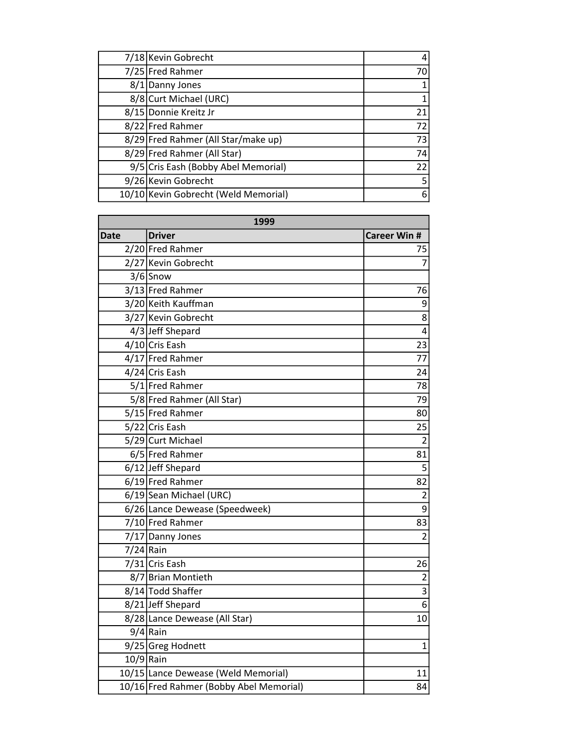| 7/18 Kevin Gobrecht                  |    |
|--------------------------------------|----|
| 7/25 Fred Rahmer                     | 70 |
| 8/1 Danny Jones                      |    |
| 8/8 Curt Michael (URC)               |    |
| 8/15 Donnie Kreitz Jr                | 21 |
| 8/22 Fred Rahmer                     | 72 |
| 8/29 Fred Rahmer (All Star/make up)  | 73 |
| 8/29 Fred Rahmer (All Star)          | 74 |
| 9/5 Cris Eash (Bobby Abel Memorial)  | 22 |
| 9/26 Kevin Gobrecht                  |    |
| 10/10 Kevin Gobrecht (Weld Memorial) | 6  |

| 1999 |                                         |                           |
|------|-----------------------------------------|---------------------------|
| Date | <b>Driver</b>                           | <b>Career Win #</b>       |
|      | 2/20 Fred Rahmer                        | 75                        |
|      | 2/27 Kevin Gobrecht                     | $\overline{7}$            |
|      | $3/6$ Snow                              |                           |
|      | 3/13 Fred Rahmer                        | 76                        |
|      | 3/20 Keith Kauffman                     | 9                         |
|      | 3/27 Kevin Gobrecht                     | 8                         |
|      | 4/3 Jeff Shepard                        | 4                         |
|      | 4/10 Cris Eash                          | 23                        |
|      | 4/17 Fred Rahmer                        | 77                        |
|      | 4/24 Cris Eash                          | 24                        |
|      | 5/1 Fred Rahmer                         | 78                        |
|      | 5/8 Fred Rahmer (All Star)              | 79                        |
|      | 5/15 Fred Rahmer                        | 80                        |
|      | 5/22 Cris Eash                          | 25                        |
|      | 5/29 Curt Michael                       | $\overline{2}$            |
|      | 6/5 Fred Rahmer                         | 81                        |
|      | 6/12 Jeff Shepard                       | 5                         |
|      | 6/19 Fred Rahmer                        | 82                        |
|      | 6/19 Sean Michael (URC)                 | $\overline{2}$            |
|      | 6/26 Lance Dewease (Speedweek)          | $\overline{9}$            |
|      | 7/10 Fred Rahmer                        | 83                        |
|      | 7/17 Danny Jones                        | $\overline{2}$            |
|      | 7/24 Rain                               |                           |
|      | $7/31$ Cris Eash                        | 26                        |
|      | 8/7 Brian Montieth                      | $\overline{2}$            |
|      | 8/14 Todd Shaffer                       | $\overline{\overline{3}}$ |
|      | 8/21 Jeff Shepard                       | $\overline{6}$            |
|      | 8/28 Lance Dewease (All Star)           | 10                        |
|      | $9/4$ Rain                              |                           |
|      | 9/25 Greg Hodnett                       | $\mathbf{1}$              |
|      | $10/9$ Rain                             |                           |
|      | 10/15 Lance Dewease (Weld Memorial)     | 11                        |
|      | 10/16 Fred Rahmer (Bobby Abel Memorial) | 84                        |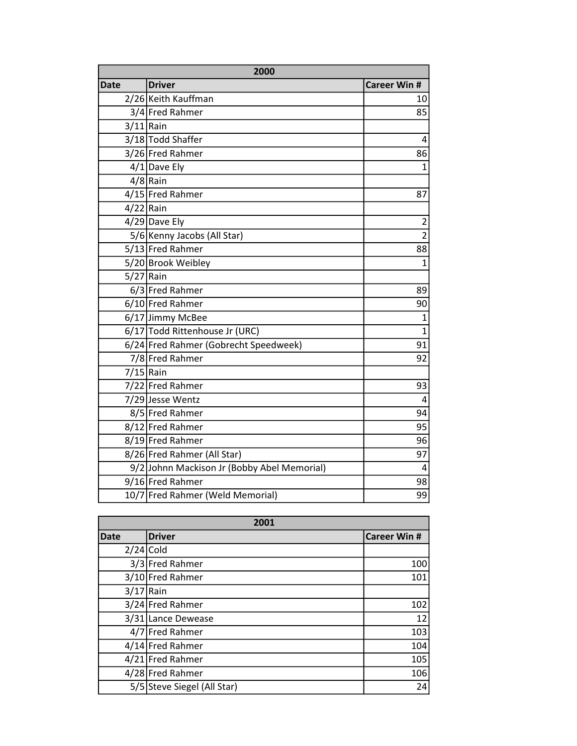| 2000        |                                             |                     |
|-------------|---------------------------------------------|---------------------|
| <b>Date</b> | <b>Driver</b>                               | <b>Career Win #</b> |
|             | 2/26 Keith Kauffman                         | 10                  |
|             | 3/4 Fred Rahmer                             | 85                  |
| $3/11$ Rain |                                             |                     |
|             | 3/18 Todd Shaffer                           | 4                   |
|             | 3/26 Fred Rahmer                            | 86                  |
|             | $4/1$ Dave Ely                              | $\overline{1}$      |
|             | $4/8$ Rain                                  |                     |
|             | 4/15 Fred Rahmer                            | 87                  |
| $4/22$ Rain |                                             |                     |
|             | $4/29$ Dave Ely                             | $\overline{2}$      |
|             | 5/6 Kenny Jacobs (All Star)                 | $\overline{2}$      |
|             | 5/13 Fred Rahmer                            | 88                  |
|             | 5/20 Brook Weibley                          | $\overline{1}$      |
| $5/27$ Rain |                                             |                     |
|             | 6/3 Fred Rahmer                             | 89                  |
|             | 6/10 Fred Rahmer                            | 90                  |
|             | 6/17 Jimmy McBee                            | 1                   |
|             | 6/17 Todd Rittenhouse Jr (URC)              | $\overline{1}$      |
|             | 6/24 Fred Rahmer (Gobrecht Speedweek)       | 91                  |
|             | 7/8 Fred Rahmer                             | 92                  |
| $7/15$ Rain |                                             |                     |
|             | 7/22 Fred Rahmer                            | 93                  |
|             | 7/29 Jesse Wentz                            | 4                   |
|             | 8/5 Fred Rahmer                             | 94                  |
|             | 8/12 Fred Rahmer                            | 95                  |
|             | 8/19 Fred Rahmer                            | 96                  |
|             | 8/26 Fred Rahmer (All Star)                 | 97                  |
|             | 9/2 Johnn Mackison Jr (Bobby Abel Memorial) | 4                   |
|             | 9/16 Fred Rahmer                            | 98                  |
|             | 10/7 Fred Rahmer (Weld Memorial)            | 99                  |

| 2001        |                             |                    |
|-------------|-----------------------------|--------------------|
| <b>Date</b> | <b>Driver</b>               | <b>Career Win#</b> |
| $2/24$ Cold |                             |                    |
|             | 3/3 Fred Rahmer             | 100                |
|             | 3/10 Fred Rahmer            | 101                |
| $3/17$ Rain |                             |                    |
|             | 3/24 Fred Rahmer            | 102                |
|             | 3/31 Lance Dewease          | 12                 |
|             | 4/7 Fred Rahmer             | 103                |
|             | 4/14 Fred Rahmer            | 104                |
|             | 4/21 Fred Rahmer            | 105                |
|             | 4/28 Fred Rahmer            | 106                |
|             | 5/5 Steve Siegel (All Star) | 24                 |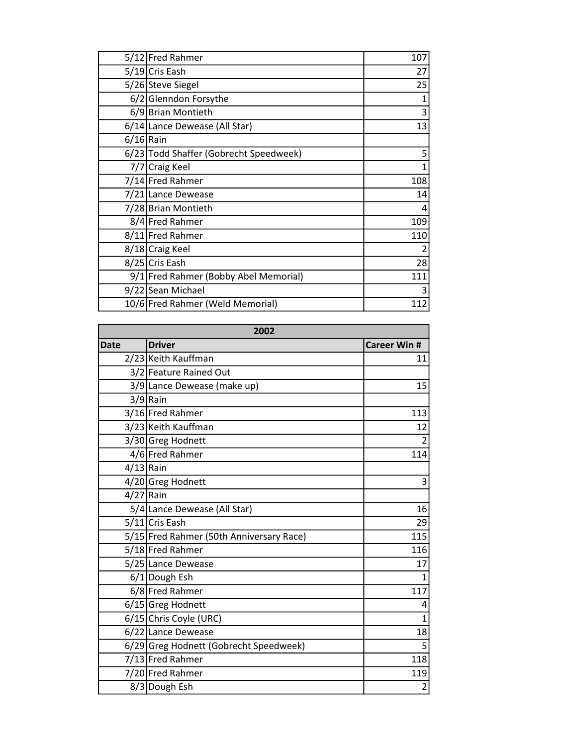|             | 5/12 Fred Rahmer                       | 107 |
|-------------|----------------------------------------|-----|
|             | 5/19 Cris Eash                         | 27  |
|             | 5/26 Steve Siegel                      | 25  |
|             | 6/2 Glenndon Forsythe                  |     |
|             | 6/9 Brian Montieth                     | 3   |
|             | 6/14 Lance Dewease (All Star)          | 13  |
| $6/16$ Rain |                                        |     |
|             | 6/23 Todd Shaffer (Gobrecht Speedweek) | 5   |
|             | 7/7 Craig Keel                         | 1   |
|             | 7/14 Fred Rahmer                       | 108 |
|             | 7/21 Lance Dewease                     | 14  |
|             | 7/28 Brian Montieth                    | 4   |
|             | 8/4 Fred Rahmer                        | 109 |
|             | 8/11 Fred Rahmer                       | 110 |
|             | 8/18 Craig Keel                        |     |
|             | 8/25 Cris Eash                         | 28  |
|             | 9/1 Fred Rahmer (Bobby Abel Memorial)  | 111 |
|             | 9/22 Sean Michael                      | 3   |
|             | 10/6 Fred Rahmer (Weld Memorial)       | 112 |

| 2002        |                                          |                     |
|-------------|------------------------------------------|---------------------|
| <b>Date</b> | <b>Driver</b>                            | <b>Career Win #</b> |
|             | 2/23 Keith Kauffman                      | 11                  |
|             | 3/2 Feature Rained Out                   |                     |
|             | 3/9 Lance Dewease (make up)              | 15                  |
|             | $3/9$ Rain                               |                     |
|             | 3/16 Fred Rahmer                         | 113                 |
|             | 3/23 Keith Kauffman                      | 12                  |
|             | 3/30 Greg Hodnett                        | $\overline{2}$      |
|             | 4/6 Fred Rahmer                          | 114                 |
| $4/13$ Rain |                                          |                     |
|             | 4/20 Greg Hodnett                        | 3                   |
| $4/27$ Rain |                                          |                     |
|             | 5/4 Lance Dewease (All Star)             | 16                  |
|             | 5/11 Cris Eash                           | 29                  |
|             | 5/15 Fred Rahmer (50th Anniversary Race) | 115                 |
|             | 5/18 Fred Rahmer                         | 116                 |
|             | 5/25 Lance Dewease                       | 17                  |
|             | 6/1 Dough Esh                            | $\mathbf{1}$        |
|             | 6/8 Fred Rahmer                          | 117                 |
|             | 6/15 Greg Hodnett                        | 4                   |
|             | 6/15 Chris Coyle (URC)                   | $\mathbf{1}$        |
|             | 6/22 Lance Dewease                       | 18                  |
|             | 6/29 Greg Hodnett (Gobrecht Speedweek)   | 5                   |
|             | 7/13 Fred Rahmer                         | 118                 |
|             | 7/20 Fred Rahmer                         | 119                 |
|             | 8/3 Dough Esh                            | $\overline{c}$      |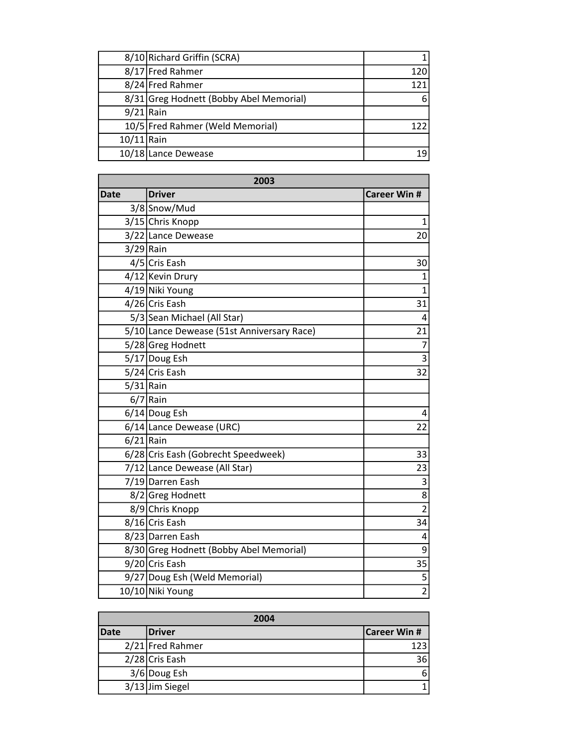|              | 8/10 Richard Griffin (SCRA)             |     |
|--------------|-----------------------------------------|-----|
|              | 8/17 Fred Rahmer                        | 120 |
|              | 8/24 Fred Rahmer                        | 121 |
|              | 8/31 Greg Hodnett (Bobby Abel Memorial) | 6   |
| $9/21$ Rain  |                                         |     |
|              | 10/5 Fred Rahmer (Weld Memorial)        | 122 |
| $10/11$ Rain |                                         |     |
|              | 10/18 Lance Dewease                     |     |

| 2003        |                                            |                     |
|-------------|--------------------------------------------|---------------------|
| <b>Date</b> | <b>Driver</b>                              | <b>Career Win #</b> |
|             | 3/8 Snow/Mud                               |                     |
|             | 3/15 Chris Knopp                           | 1                   |
|             | 3/22 Lance Dewease                         | 20                  |
| $3/29$ Rain |                                            |                     |
|             | 4/5 Cris Eash                              | 30                  |
|             | 4/12 Kevin Drury                           | 1                   |
|             | 4/19 Niki Young                            | $\mathbf{1}$        |
|             | 4/26 Cris Eash                             | 31                  |
|             | 5/3 Sean Michael (All Star)                | 4                   |
|             | 5/10 Lance Dewease (51st Anniversary Race) | 21                  |
|             | 5/28 Greg Hodnett                          | 7                   |
|             | 5/17 Doug Esh                              | $\overline{3}$      |
|             | 5/24 Cris Eash                             | 32                  |
| $5/31$ Rain |                                            |                     |
|             | $6/7$ Rain                                 |                     |
|             | $6/14$ Doug Esh                            | 4                   |
|             | 6/14 Lance Dewease (URC)                   | 22                  |
| $6/21$ Rain |                                            |                     |
|             | 6/28 Cris Eash (Gobrecht Speedweek)        | 33                  |
|             | 7/12 Lance Dewease (All Star)              | 23                  |
|             | 7/19Darren Eash                            | 3                   |
|             | 8/2 Greg Hodnett                           | 8                   |
|             | 8/9 Chris Knopp                            | $\overline{2}$      |
|             | 8/16 Cris Eash                             | 34                  |
|             | 8/23 Darren Eash                           | 4                   |
|             | 8/30 Greg Hodnett (Bobby Abel Memorial)    | 9                   |
|             | 9/20 Cris Eash                             | 35                  |
|             | 9/27 Doug Esh (Weld Memorial)              | 5                   |
|             | 10/10 Niki Young                           | $\overline{2}$      |

| 2004        |                  |                     |
|-------------|------------------|---------------------|
| <b>Date</b> | <b>Driver</b>    | <b>Career Win #</b> |
|             | 2/21 Fred Rahmer | 1231                |
|             | 2/28 Cris Eash   | 36I                 |
|             | 3/6 Doug Esh     | 6                   |
|             | 3/13 Jim Siegel  |                     |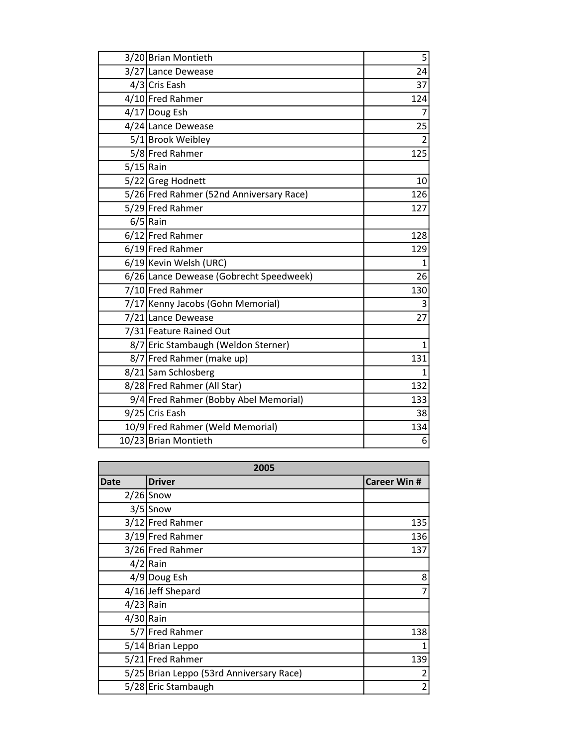|             | 3/20 Brian Montieth                      | 5              |
|-------------|------------------------------------------|----------------|
|             | 3/27 Lance Dewease                       | 24             |
|             | 4/3 Cris Eash                            | 37             |
|             | 4/10 Fred Rahmer                         | 124            |
|             | 4/17 Doug Esh                            | $\overline{7}$ |
|             | 4/24 Lance Dewease                       | 25             |
|             | 5/1 Brook Weibley                        | $\overline{2}$ |
|             | 5/8 Fred Rahmer                          | 125            |
| $5/15$ Rain |                                          |                |
|             | 5/22 Greg Hodnett                        | 10             |
|             | 5/26 Fred Rahmer (52nd Anniversary Race) | 126            |
|             | 5/29 Fred Rahmer                         | 127            |
|             | $6/5$ Rain                               |                |
|             | 6/12 Fred Rahmer                         | 128            |
|             | 6/19 Fred Rahmer                         | 129            |
|             | 6/19 Kevin Welsh (URC)                   | $\overline{1}$ |
|             | 6/26 Lance Dewease (Gobrecht Speedweek)  | 26             |
|             | 7/10 Fred Rahmer                         | 130            |
|             | 7/17 Kenny Jacobs (Gohn Memorial)        | 3              |
|             | 7/21 Lance Dewease                       | 27             |
|             | 7/31 Feature Rained Out                  |                |
|             | 8/7 Eric Stambaugh (Weldon Sterner)      | 1              |
|             | 8/7 Fred Rahmer (make up)                | 131            |
|             | 8/21 Sam Schlosberg                      | $\mathbf{1}$   |
|             | 8/28 Fred Rahmer (All Star)              | 132            |
|             | 9/4 Fred Rahmer (Bobby Abel Memorial)    | 133            |
|             | 9/25 Cris Eash                           | 38             |
|             | 10/9 Fred Rahmer (Weld Memorial)         | 134            |
|             | 10/23 Brian Montieth                     | 6              |

| 2005        |                                          |                     |
|-------------|------------------------------------------|---------------------|
| Date        | Driver                                   | <b>Career Win #</b> |
|             | $2/26$ Snow                              |                     |
|             | $3/5$ Snow                               |                     |
|             | 3/12 Fred Rahmer                         | 135                 |
|             | 3/19 Fred Rahmer                         | 136                 |
|             | 3/26 Fred Rahmer                         | 137                 |
|             | $4/2$ Rain                               |                     |
|             | 4/9 Doug Esh                             | 8                   |
|             | 4/16 Jeff Shepard                        | 7                   |
| $4/23$ Rain |                                          |                     |
| $4/30$ Rain |                                          |                     |
|             | 5/7 Fred Rahmer                          | 138                 |
|             | 5/14 Brian Leppo                         | 1                   |
|             | 5/21 Fred Rahmer                         | 139                 |
|             | 5/25 Brian Leppo (53rd Anniversary Race) | $\overline{2}$      |
|             | 5/28 Eric Stambaugh                      | $\overline{c}$      |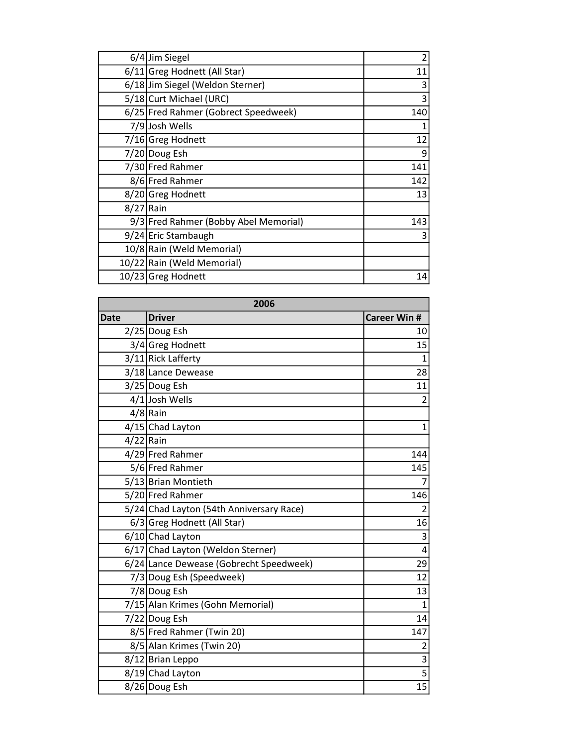|             | $6/4$ Jim Siegel                      | 2   |
|-------------|---------------------------------------|-----|
|             | 6/11 Greg Hodnett (All Star)          | 11  |
|             | 6/18 Jim Siegel (Weldon Sterner)      | 3   |
|             | 5/18 Curt Michael (URC)               | 3   |
|             | 6/25 Fred Rahmer (Gobrect Speedweek)  | 140 |
|             | 7/9 Josh Wells                        |     |
|             | 7/16 Greg Hodnett                     | 12  |
|             | 7/20 Doug Esh                         | 9   |
|             | 7/30 Fred Rahmer                      | 141 |
|             | 8/6 Fred Rahmer                       | 142 |
|             | 8/20 Greg Hodnett                     | 13  |
| $8/27$ Rain |                                       |     |
|             | 9/3 Fred Rahmer (Bobby Abel Memorial) | 143 |
|             | 9/24 Eric Stambaugh                   | 3   |
|             | 10/8 Rain (Weld Memorial)             |     |
|             | 10/22 Rain (Weld Memorial)            |     |
|             | 10/23 Greg Hodnett                    | 14  |

| 2006        |                                          |                         |
|-------------|------------------------------------------|-------------------------|
| <b>Date</b> | <b>Driver</b>                            | <b>Career Win #</b>     |
|             | 2/25 Doug Esh                            | 10                      |
|             | 3/4 Greg Hodnett                         | 15                      |
|             | 3/11 Rick Lafferty                       | $\mathbf{1}$            |
|             | 3/18 Lance Dewease                       | 28                      |
|             | 3/25 Doug Esh                            | 11                      |
|             | 4/1 Josh Wells                           | $\overline{2}$          |
|             | $4/8$ Rain                               |                         |
|             | 4/15 Chad Layton                         | $\mathbf{1}$            |
| $4/22$ Rain |                                          |                         |
|             | 4/29 Fred Rahmer                         | 144                     |
|             | 5/6 Fred Rahmer                          | 145                     |
|             | 5/13 Brian Montieth                      | 7                       |
|             | 5/20 Fred Rahmer                         | 146                     |
|             | 5/24 Chad Layton (54th Anniversary Race) | $\overline{2}$          |
|             | 6/3 Greg Hodnett (All Star)              | 16                      |
|             | 6/10 Chad Layton                         | $\overline{3}$          |
|             | 6/17 Chad Layton (Weldon Sterner)        | 4                       |
|             | 6/24 Lance Dewease (Gobrecht Speedweek)  | 29                      |
|             | 7/3 Doug Esh (Speedweek)                 | 12                      |
|             | 7/8 Doug Esh                             | 13                      |
|             | 7/15 Alan Krimes (Gohn Memorial)         | $\mathbf{1}$            |
|             | 7/22 Doug Esh                            | 14                      |
|             | 8/5 Fred Rahmer (Twin 20)                | 147                     |
|             | 8/5 Alan Krimes (Twin 20)                | $\overline{\mathbf{c}}$ |
|             | 8/12 Brian Leppo                         | $\overline{3}$          |
|             | 8/19 Chad Layton                         | $\overline{5}$          |
|             | 8/26 Doug Esh                            | $\overline{15}$         |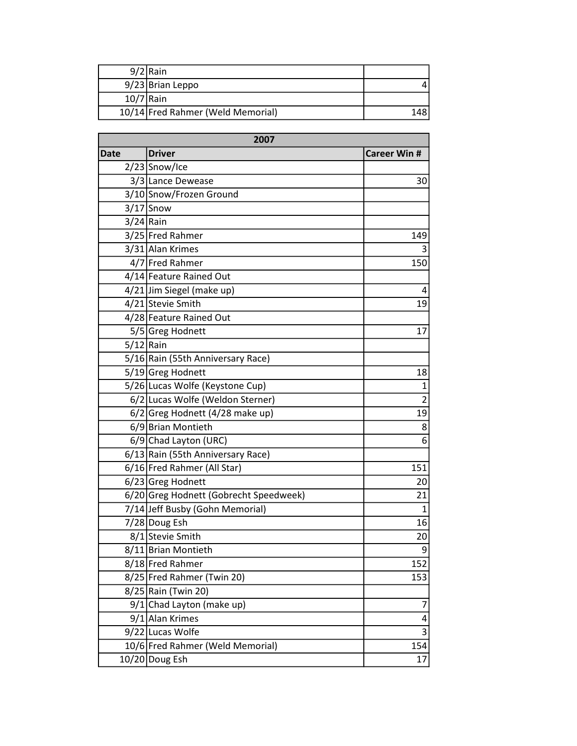|             | $9/2$ Rain                        |      |
|-------------|-----------------------------------|------|
|             | 9/23 Brian Leppo                  |      |
| $10/7$ Rain |                                   |      |
|             | 10/14 Fred Rahmer (Weld Memorial) | 148. |

| 2007        |                                        |                     |
|-------------|----------------------------------------|---------------------|
| <b>Date</b> | <b>Driver</b>                          | <b>Career Win #</b> |
|             | $2/23$ Snow/Ice                        |                     |
|             | 3/3 Lance Dewease                      | 30                  |
|             | 3/10 Snow/Frozen Ground                |                     |
|             | $3/17$ Snow                            |                     |
| $3/24$ Rain |                                        |                     |
|             | 3/25 Fred Rahmer                       | 149                 |
|             | 3/31 Alan Krimes                       | 3                   |
|             | 4/7 Fred Rahmer                        | 150                 |
|             | 4/14 Feature Rained Out                |                     |
|             | 4/21 Jim Siegel (make up)              | 4                   |
|             | 4/21 Stevie Smith                      | 19                  |
|             | 4/28 Feature Rained Out                |                     |
|             | 5/5 Greg Hodnett                       | 17                  |
| $5/12$ Rain |                                        |                     |
|             | 5/16 Rain (55th Anniversary Race)      |                     |
|             | 5/19 Greg Hodnett                      | 18                  |
|             | 5/26 Lucas Wolfe (Keystone Cup)        | 1                   |
|             | 6/2 Lucas Wolfe (Weldon Sterner)       | $\overline{2}$      |
|             | 6/2 Greg Hodnett (4/28 make up)        | 19                  |
|             | 6/9 Brian Montieth                     | 8                   |
|             | 6/9 Chad Layton (URC)                  | 6                   |
|             | 6/13 Rain (55th Anniversary Race)      |                     |
|             | 6/16 Fred Rahmer (All Star)            | 151                 |
|             | 6/23 Greg Hodnett                      | 20                  |
|             | 6/20 Greg Hodnett (Gobrecht Speedweek) | 21                  |
|             | 7/14 Jeff Busby (Gohn Memorial)        | $\mathbf{1}$        |
|             | 7/28 Doug Esh                          | 16                  |
|             | 8/1 Stevie Smith                       | 20                  |
|             | 8/11 Brian Montieth                    | 9                   |
|             | 8/18 Fred Rahmer                       | 152                 |
|             | 8/25 Fred Rahmer (Twin 20)             | 153                 |
|             | 8/25 Rain (Twin 20)                    |                     |
|             | $9/1$ Chad Layton (make up)            | 7                   |
|             | 9/1 Alan Krimes                        | 4                   |
|             | 9/22 Lucas Wolfe                       | $\overline{3}$      |
|             | 10/6 Fred Rahmer (Weld Memorial)       | 154                 |
|             | 10/20 Doug Esh                         | 17                  |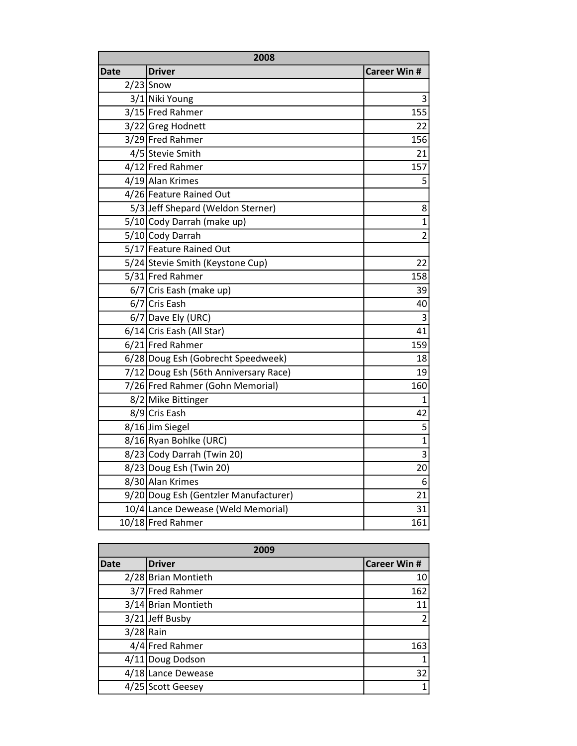| 2008 |                                       |                     |
|------|---------------------------------------|---------------------|
| Date | Driver                                | <b>Career Win #</b> |
|      | $2/23$ Snow                           |                     |
|      | 3/1 Niki Young                        | 3                   |
|      | 3/15 Fred Rahmer                      | 155                 |
|      | 3/22 Greg Hodnett                     | 22                  |
|      | 3/29 Fred Rahmer                      | 156                 |
|      | 4/5 Stevie Smith                      | 21                  |
|      | 4/12 Fred Rahmer                      | 157                 |
|      | 4/19 Alan Krimes                      | 5                   |
|      | 4/26 Feature Rained Out               |                     |
|      | 5/3 Jeff Shepard (Weldon Sterner)     | 8                   |
|      | 5/10 Cody Darrah (make up)            | $\mathbf{1}$        |
|      | 5/10 Cody Darrah                      | $\overline{2}$      |
|      | 5/17 Feature Rained Out               |                     |
|      | 5/24 Stevie Smith (Keystone Cup)      | 22                  |
|      | 5/31 Fred Rahmer                      | 158                 |
|      | 6/7 Cris Eash (make up)               | 39                  |
|      | 6/7 Cris Eash                         | 40                  |
|      | $6/7$ Dave Ely (URC)                  | 3                   |
|      | 6/14 Cris Eash (All Star)             | 41                  |
|      | 6/21 Fred Rahmer                      | 159                 |
|      | 6/28 Doug Esh (Gobrecht Speedweek)    | 18                  |
|      | 7/12 Doug Esh (56th Anniversary Race) | 19                  |
|      | 7/26 Fred Rahmer (Gohn Memorial)      | 160                 |
|      | 8/2 Mike Bittinger                    | 1                   |
|      | 8/9 Cris Eash                         | 42                  |
|      | 8/16 Jim Siegel                       | 5                   |
|      | 8/16 Ryan Bohlke (URC)                | $\overline{1}$      |
|      | 8/23 Cody Darrah (Twin 20)            | 3                   |
|      | 8/23 Doug Esh (Twin 20)               | 20                  |
|      | 8/30 Alan Krimes                      | 6                   |
|      | 9/20 Doug Esh (Gentzler Manufacturer) | 21                  |
|      | 10/4 Lance Dewease (Weld Memorial)    | 31                  |
|      | 10/18 Fred Rahmer                     | 161                 |

| 2009        |                     |                     |
|-------------|---------------------|---------------------|
| <b>Date</b> | <b>Driver</b>       | <b>Career Win #</b> |
|             | 2/28 Brian Montieth | 10                  |
|             | 3/7 Fred Rahmer     | 162                 |
|             | 3/14 Brian Montieth | 11                  |
|             | 3/21 Jeff Busby     | 2                   |
| $3/28$ Rain |                     |                     |
|             | 4/4 Fred Rahmer     | 163                 |
|             | 4/11 Doug Dodson    |                     |
|             | 4/18 Lance Dewease  | 32                  |
|             | 4/25 Scott Geesey   |                     |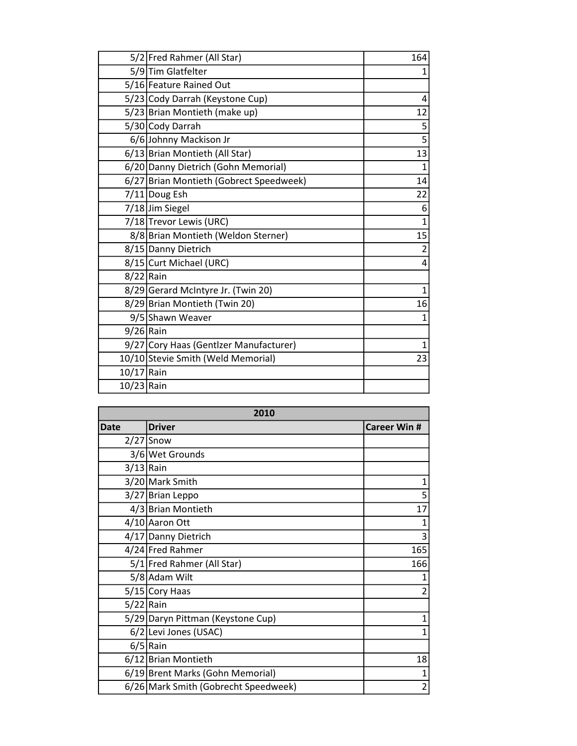|             | 5/2 Fred Rahmer (All Star)              | 164            |
|-------------|-----------------------------------------|----------------|
|             | 5/9 Tim Glatfelter                      | 1              |
|             | 5/16 Feature Rained Out                 |                |
|             | 5/23 Cody Darrah (Keystone Cup)         | 4              |
|             | 5/23 Brian Montieth (make up)           | 12             |
|             | 5/30 Cody Darrah                        | 5              |
|             | 6/6 Johnny Mackison Jr                  | 5              |
|             | 6/13 Brian Montieth (All Star)          | 13             |
|             | 6/20 Danny Dietrich (Gohn Memorial)     | 1              |
|             | 6/27 Brian Montieth (Gobrect Speedweek) | 14             |
|             | 7/11 Doug Esh                           | 22             |
|             | 7/18Jim Siegel                          | 6              |
|             | 7/18 Trevor Lewis (URC)                 | 1              |
|             | 8/8 Brian Montieth (Weldon Sterner)     | 15             |
|             | 8/15 Danny Dietrich                     | $\overline{2}$ |
|             | 8/15 Curt Michael (URC)                 | 4              |
| $8/22$ Rain |                                         |                |
|             | 8/29 Gerard McIntyre Jr. (Twin 20)      | 1              |
|             | 8/29 Brian Montieth (Twin 20)           | 16             |
|             | 9/5 Shawn Weaver                        | 1              |
| $9/26$ Rain |                                         |                |
|             | 9/27 Cory Haas (Gentlzer Manufacturer)  | 1              |
|             | 10/10 Stevie Smith (Weld Memorial)      | 23             |
| 10/17 Rain  |                                         |                |
| 10/23 Rain  |                                         |                |

| 2010        |                                      |                     |
|-------------|--------------------------------------|---------------------|
| <b>Date</b> | <b>Driver</b>                        | <b>Career Win #</b> |
|             | $2/27$ Snow                          |                     |
|             | 3/6 Wet Grounds                      |                     |
| $3/13$ Rain |                                      |                     |
|             | 3/20 Mark Smith                      | 1                   |
|             | 3/27 Brian Leppo                     | 5                   |
|             | 4/3 Brian Montieth                   | 17                  |
|             | 4/10 Aaron Ott                       |                     |
|             | 4/17 Danny Dietrich                  | 3                   |
|             | 4/24 Fred Rahmer                     | 165                 |
|             | 5/1 Fred Rahmer (All Star)           | 166                 |
|             | 5/8 Adam Wilt                        |                     |
|             | 5/15 Cory Haas                       | 2                   |
| $5/22$ Rain |                                      |                     |
|             | 5/29 Daryn Pittman (Keystone Cup)    |                     |
|             | 6/2 Levi Jones (USAC)                | 1                   |
|             | $6/5$ Rain                           |                     |
|             | 6/12 Brian Montieth                  | 18                  |
|             | 6/19 Brent Marks (Gohn Memorial)     | 1                   |
|             | 6/26 Mark Smith (Gobrecht Speedweek) | $\overline{2}$      |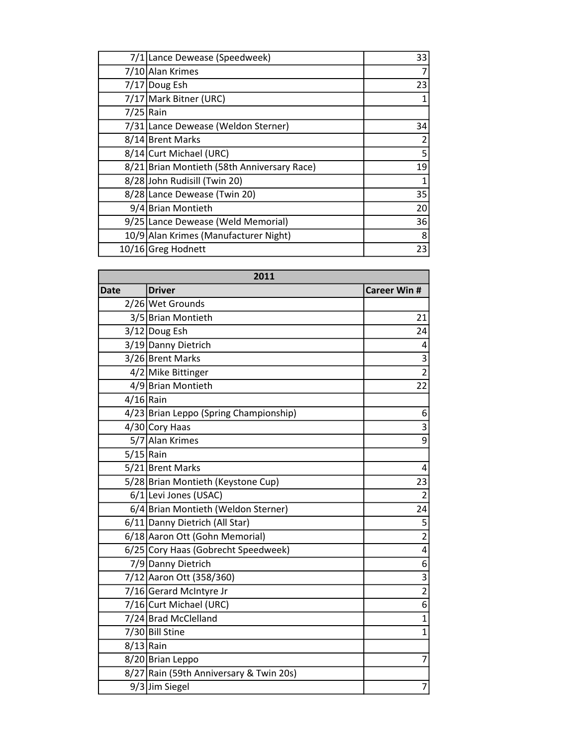|             | 7/1 Lance Dewease (Speedweek)               | 33            |
|-------------|---------------------------------------------|---------------|
|             | 7/10 Alan Krimes                            |               |
|             | 7/17 Doug Esh                               | 23            |
|             | 7/17 Mark Bitner (URC)                      |               |
| $7/25$ Rain |                                             |               |
|             | 7/31 Lance Dewease (Weldon Sterner)         | 34            |
|             | 8/14 Brent Marks                            | $\mathcal{P}$ |
|             | 8/14 Curt Michael (URC)                     | 5             |
|             | 8/21 Brian Montieth (58th Anniversary Race) | 19            |
|             | 8/28 John Rudisill (Twin 20)                |               |
|             | 8/28 Lance Dewease (Twin 20)                | 35            |
|             | 9/4 Brian Montieth                          | 20            |
|             | 9/25 Lance Dewease (Weld Memorial)          | 36            |
|             | 10/9 Alan Krimes (Manufacturer Night)       | 8             |
|             | 10/16 Greg Hodnett                          | 23            |

| 2011        |                                         |                         |
|-------------|-----------------------------------------|-------------------------|
| <b>Date</b> | <b>Driver</b>                           | <b>Career Win #</b>     |
|             | 2/26 Wet Grounds                        |                         |
|             | 3/5 Brian Montieth                      | 21                      |
|             | 3/12 Doug Esh                           | 24                      |
|             | 3/19 Danny Dietrich                     | 4                       |
|             | 3/26 Brent Marks                        | 3                       |
|             | 4/2 Mike Bittinger                      | $\overline{2}$          |
|             | 4/9 Brian Montieth                      | 22                      |
| $4/16$ Rain |                                         |                         |
|             | 4/23 Brian Leppo (Spring Championship)  | 6                       |
|             | 4/30 Cory Haas                          | 3                       |
|             | 5/7 Alan Krimes                         | $\overline{9}$          |
| $5/15$ Rain |                                         |                         |
|             | 5/21 Brent Marks                        | 4                       |
|             | 5/28 Brian Montieth (Keystone Cup)      | 23                      |
|             | 6/1 Levi Jones (USAC)                   | $\overline{2}$          |
|             | 6/4 Brian Montieth (Weldon Sterner)     | 24                      |
|             | 6/11 Danny Dietrich (All Star)          | 5                       |
|             | 6/18 Aaron Ott (Gohn Memorial)          | $\overline{2}$          |
|             | 6/25 Cory Haas (Gobrecht Speedweek)     | $\overline{4}$          |
|             | 7/9 Danny Dietrich                      | 6                       |
|             | 7/12 Aaron Ott (358/360)                | $\overline{\mathbf{3}}$ |
|             | 7/16 Gerard McIntyre Jr                 | $\overline{2}$          |
|             | 7/16 Curt Michael (URC)                 | $\overline{6}$          |
|             | 7/24 Brad McClelland                    | $\overline{1}$          |
|             | 7/30 Bill Stine                         | $\overline{1}$          |
| $8/13$ Rain |                                         |                         |
|             | 8/20 Brian Leppo                        | 7                       |
|             | 8/27 Rain (59th Anniversary & Twin 20s) |                         |
|             | 9/3 Jim Siegel                          | $\overline{7}$          |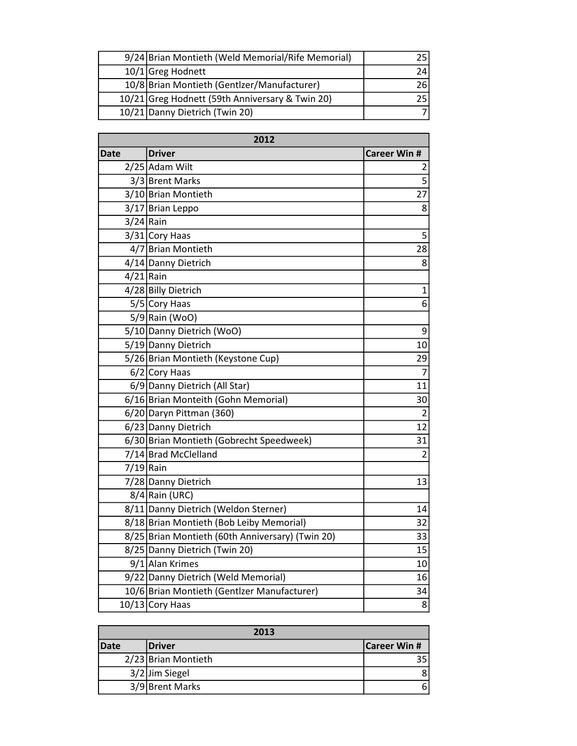| 9/24 Brian Montieth (Weld Memorial/Rife Memorial) |    |
|---------------------------------------------------|----|
| 10/1 Greg Hodnett                                 |    |
| 10/8 Brian Montieth (Gentizer/Manufacturer)       | 26 |
| 10/21 Greg Hodnett (59th Anniversary & Twin 20)   |    |
| 10/21 Danny Dietrich (Twin 20)                    |    |

| 2012        |                                                  |                     |
|-------------|--------------------------------------------------|---------------------|
| Date        | <b>Driver</b>                                    | <b>Career Win #</b> |
|             | 2/25 Adam Wilt                                   | 2                   |
|             | 3/3 Brent Marks                                  | 5                   |
|             | 3/10 Brian Montieth                              | 27                  |
|             | 3/17 Brian Leppo                                 | 8                   |
| $3/24$ Rain |                                                  |                     |
|             | 3/31 Cory Haas                                   | 5                   |
|             | 4/7 Brian Montieth                               | 28                  |
|             | 4/14 Danny Dietrich                              | 8                   |
| $4/21$ Rain |                                                  |                     |
|             | 4/28 Billy Dietrich                              | $\mathbf 1$         |
|             | 5/5 Cory Haas                                    | 6                   |
|             | $5/9$ Rain (WoO)                                 |                     |
|             | 5/10 Danny Dietrich (WoO)                        | 9                   |
|             | 5/19 Danny Dietrich                              | 10                  |
|             | 5/26 Brian Montieth (Keystone Cup)               | 29                  |
|             | 6/2 Cory Haas                                    | $\overline{7}$      |
|             | 6/9 Danny Dietrich (All Star)                    | 11                  |
|             | 6/16 Brian Monteith (Gohn Memorial)              | 30                  |
|             | 6/20 Daryn Pittman (360)                         | $\overline{2}$      |
|             | 6/23 Danny Dietrich                              | 12                  |
|             | 6/30 Brian Montieth (Gobrecht Speedweek)         | 31                  |
|             | 7/14 Brad McClelland                             | $\overline{2}$      |
| $7/19$ Rain |                                                  |                     |
|             | 7/28 Danny Dietrich                              | 13                  |
|             | 8/4 Rain (URC)                                   |                     |
|             | 8/11 Danny Dietrich (Weldon Sterner)             | 14                  |
|             | 8/18 Brian Montieth (Bob Leiby Memorial)         | 32                  |
|             | 8/25 Brian Montieth (60th Anniversary) (Twin 20) | 33                  |
|             | 8/25 Danny Dietrich (Twin 20)                    | 15                  |
|             | 9/1 Alan Krimes                                  | 10                  |
|             | 9/22 Danny Dietrich (Weld Memorial)              | 16                  |
|             | 10/6 Brian Montieth (Gentizer Manufacturer)      | 34                  |
|             | $10/13$ Cory Haas                                | 8                   |

| 2013        |                     |                     |
|-------------|---------------------|---------------------|
| <b>Date</b> | <b>Driver</b>       | <b>Career Win #</b> |
|             | 2/23 Brian Montieth |                     |
|             | 3/2 Jim Siegel      |                     |
|             | 3/9 Brent Marks     | 6                   |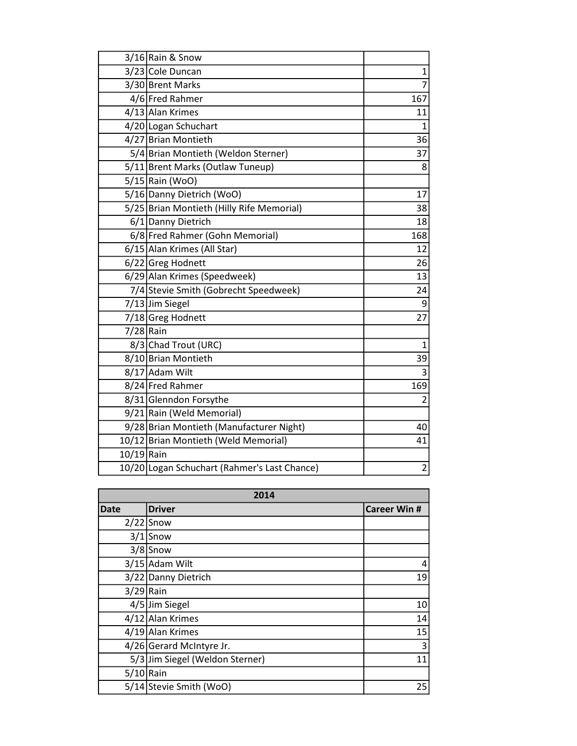|             | 3/16 Rain & Snow                             |                |
|-------------|----------------------------------------------|----------------|
|             | 3/23 Cole Duncan                             | 1              |
|             | 3/30 Brent Marks                             | $\overline{7}$ |
|             | 4/6 Fred Rahmer                              | 167            |
|             | 4/13 Alan Krimes                             | 11             |
|             | 4/20 Logan Schuchart                         | 1              |
|             | 4/27 Brian Montieth                          | 36             |
|             | 5/4 Brian Montieth (Weldon Sterner)          | 37             |
|             | 5/11 Brent Marks (Outlaw Tuneup)             | 8              |
|             | 5/15 Rain (WoO)                              |                |
|             | 5/16 Danny Dietrich (WoO)                    | 17             |
|             | 5/25 Brian Montieth (Hilly Rife Memorial)    | 38             |
|             | 6/1 Danny Dietrich                           | 18             |
|             | 6/8 Fred Rahmer (Gohn Memorial)              | 168            |
|             | 6/15 Alan Krimes (All Star)                  | 12             |
|             | 6/22 Greg Hodnett                            | 26             |
|             | 6/29 Alan Krimes (Speedweek)                 | 13             |
|             | 7/4 Stevie Smith (Gobrecht Speedweek)        | 24             |
|             | 7/13 Jim Siegel                              | 9              |
|             | 7/18 Greg Hodnett                            | 27             |
| $7/28$ Rain |                                              |                |
|             | 8/3 Chad Trout (URC)                         | $\mathbf{1}$   |
|             | 8/10 Brian Montieth                          | 39             |
|             | 8/17 Adam Wilt                               | 3              |
|             | 8/24 Fred Rahmer                             | 169            |
|             | 8/31 Glenndon Forsythe                       | $\overline{2}$ |
|             | 9/21 Rain (Weld Memorial)                    |                |
|             | 9/28 Brian Montieth (Manufacturer Night)     | 40             |
|             | 10/12 Brian Montieth (Weld Memorial)         | 41             |
| 10/19 Rain  |                                              |                |
|             | 10/20 Logan Schuchart (Rahmer's Last Chance) | $\overline{2}$ |

| 2014        |                                 |                     |
|-------------|---------------------------------|---------------------|
| <b>Date</b> | <b>Driver</b>                   | <b>Career Win #</b> |
|             | $2/22$ Snow                     |                     |
|             | $3/1$ Snow                      |                     |
|             | $3/8$ Snow                      |                     |
|             | 3/15 Adam Wilt                  | 4                   |
|             | 3/22 Danny Dietrich             | 19                  |
| $3/29$ Rain |                                 |                     |
|             | 4/5 Jim Siegel                  | 10                  |
|             | 4/12 Alan Krimes                | 14                  |
|             | 4/19 Alan Krimes                | 15                  |
|             | 4/26 Gerard McIntyre Jr.        | 3                   |
|             | 5/3 Jim Siegel (Weldon Sterner) | 11                  |
| $5/10$ Rain |                                 |                     |
|             | 5/14 Stevie Smith (WoO)         | 25                  |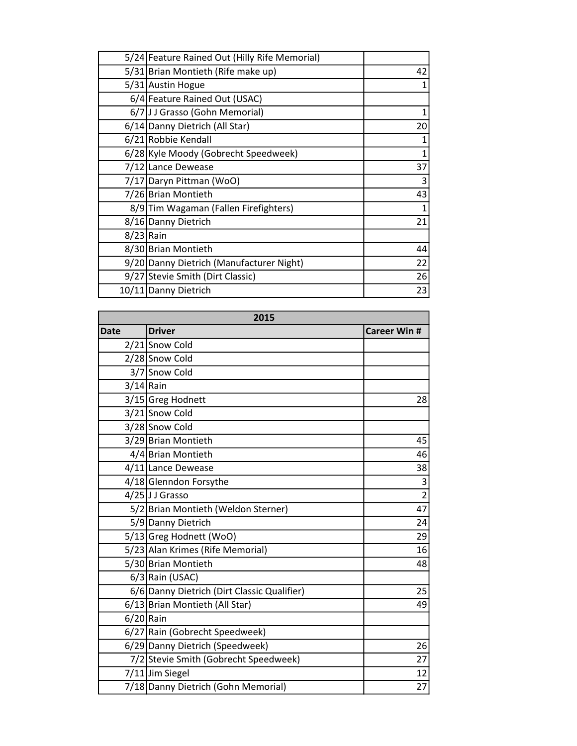|             | 5/24 Feature Rained Out (Hilly Rife Memorial) |    |
|-------------|-----------------------------------------------|----|
|             | 5/31 Brian Montieth (Rife make up)            | 42 |
|             | 5/31 Austin Hogue                             |    |
|             | 6/4 Feature Rained Out (USAC)                 |    |
|             | 6/7   J J Grasso (Gohn Memorial)              |    |
|             | 6/14 Danny Dietrich (All Star)                | 20 |
|             | 6/21 Robbie Kendall                           |    |
|             | 6/28 Kyle Moody (Gobrecht Speedweek)          | 1  |
|             | 7/12 Lance Dewease                            | 37 |
|             | 7/17 Daryn Pittman (WoO)                      | 3  |
|             | 7/26 Brian Montieth                           | 43 |
|             | 8/9 Tim Wagaman (Fallen Firefighters)         |    |
|             | 8/16 Danny Dietrich                           | 21 |
| $8/23$ Rain |                                               |    |
|             | 8/30 Brian Montieth                           | 44 |
|             | 9/20 Danny Dietrich (Manufacturer Night)      | 22 |
|             | 9/27 Stevie Smith (Dirt Classic)              | 26 |
|             | 10/11 Danny Dietrich                          | 23 |

| 2015        |                                             |                     |
|-------------|---------------------------------------------|---------------------|
| <b>Date</b> | <b>Driver</b>                               | <b>Career Win #</b> |
|             | 2/21 Snow Cold                              |                     |
|             | 2/28 Snow Cold                              |                     |
|             | 3/7 Snow Cold                               |                     |
|             | $3/14$ Rain                                 |                     |
|             | 3/15 Greg Hodnett                           | 28                  |
|             | 3/21 Snow Cold                              |                     |
|             | 3/28 Snow Cold                              |                     |
|             | 3/29 Brian Montieth                         | 45                  |
|             | 4/4 Brian Montieth                          | 46                  |
|             | 4/11 Lance Dewease                          | 38                  |
|             | 4/18 Glenndon Forsythe                      | $\mathsf 3$         |
|             | 4/25 JJ Grasso                              | $\overline{2}$      |
|             | 5/2 Brian Montieth (Weldon Sterner)         | 47                  |
|             | 5/9 Danny Dietrich                          | 24                  |
|             | 5/13 Greg Hodnett (WoO)                     | 29                  |
|             | 5/23 Alan Krimes (Rife Memorial)            | 16                  |
|             | 5/30 Brian Montieth                         | 48                  |
|             | $6/3$ Rain (USAC)                           |                     |
|             | 6/6 Danny Dietrich (Dirt Classic Qualifier) | 25                  |
|             | 6/13 Brian Montieth (All Star)              | 49                  |
|             | $6/20$ Rain                                 |                     |
|             | 6/27 Rain (Gobrecht Speedweek)              |                     |
|             | 6/29 Danny Dietrich (Speedweek)             | 26                  |
|             | 7/2 Stevie Smith (Gobrecht Speedweek)       | 27                  |
|             | 7/11 Jim Siegel                             | 12                  |
|             | 7/18 Danny Dietrich (Gohn Memorial)         | 27                  |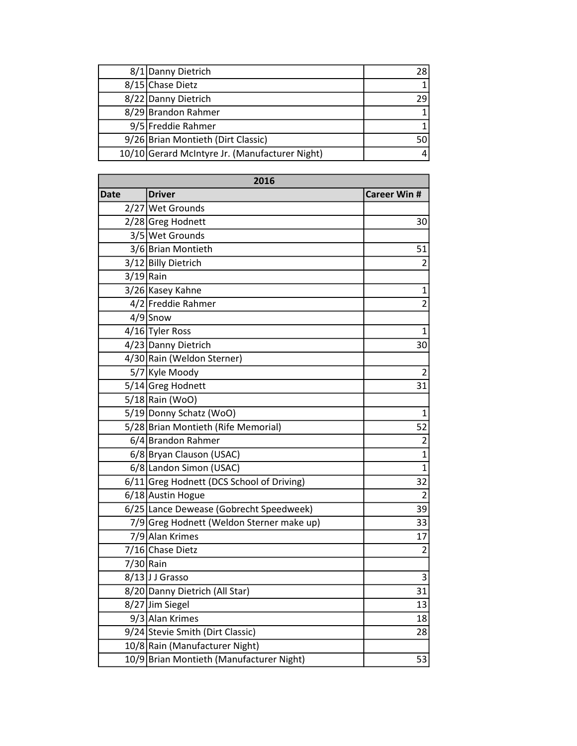| 8/1 Danny Dietrich                             | 28 |
|------------------------------------------------|----|
| 8/15 Chase Dietz                               |    |
| 8/22 Danny Dietrich                            |    |
| 8/29 Brandon Rahmer                            |    |
| 9/5 Freddie Rahmer                             |    |
| 9/26 Brian Montieth (Dirt Classic)             |    |
| 10/10 Gerard McIntyre Jr. (Manufacturer Night) |    |

| 2016 |                                           |                     |
|------|-------------------------------------------|---------------------|
| Date | <b>Driver</b>                             | <b>Career Win #</b> |
|      | 2/27 Wet Grounds                          |                     |
|      | 2/28 Greg Hodnett                         | 30                  |
|      | 3/5 Wet Grounds                           |                     |
|      | 3/6 Brian Montieth                        | 51                  |
|      | 3/12 Billy Dietrich                       | $\overline{2}$      |
|      | $3/19$ Rain                               |                     |
|      | 3/26 Kasey Kahne                          | 1                   |
|      | 4/2 Freddie Rahmer                        | $\overline{2}$      |
|      | $4/9$ Snow                                |                     |
|      | 4/16 Tyler Ross                           | $\mathbf{1}$        |
|      | 4/23 Danny Dietrich                       | 30                  |
|      | 4/30 Rain (Weldon Sterner)                |                     |
|      | 5/7 Kyle Moody                            | $\overline{2}$      |
|      | 5/14 Greg Hodnett                         | 31                  |
|      | 5/18 Rain (WoO)                           |                     |
|      | 5/19 Donny Schatz (WoO)                   | 1                   |
|      | 5/28 Brian Montieth (Rife Memorial)       | 52                  |
|      | 6/4 Brandon Rahmer                        | $\overline{c}$      |
|      | 6/8 Bryan Clauson (USAC)                  | $\mathbf{1}$        |
|      | 6/8 Landon Simon (USAC)                   | $\mathbf{1}$        |
|      | 6/11 Greg Hodnett (DCS School of Driving) | 32                  |
|      | 6/18 Austin Hogue                         | 2                   |
|      | 6/25 Lance Dewease (Gobrecht Speedweek)   | 39                  |
|      | 7/9 Greg Hodnett (Weldon Sterner make up) | 33                  |
|      | 7/9 Alan Krimes                           | 17                  |
|      | 7/16 Chase Dietz                          | $\overline{2}$      |
|      | 7/30 Rain                                 |                     |
|      | 8/13JJ Grasso                             | 3                   |
|      | 8/20 Danny Dietrich (All Star)            | 31                  |
|      | 8/27 Jim Siegel                           | 13                  |
|      | 9/3 Alan Krimes                           | 18                  |
|      | 9/24 Stevie Smith (Dirt Classic)          | 28                  |
|      | 10/8 Rain (Manufacturer Night)            |                     |
|      | 10/9 Brian Montieth (Manufacturer Night)  | 53                  |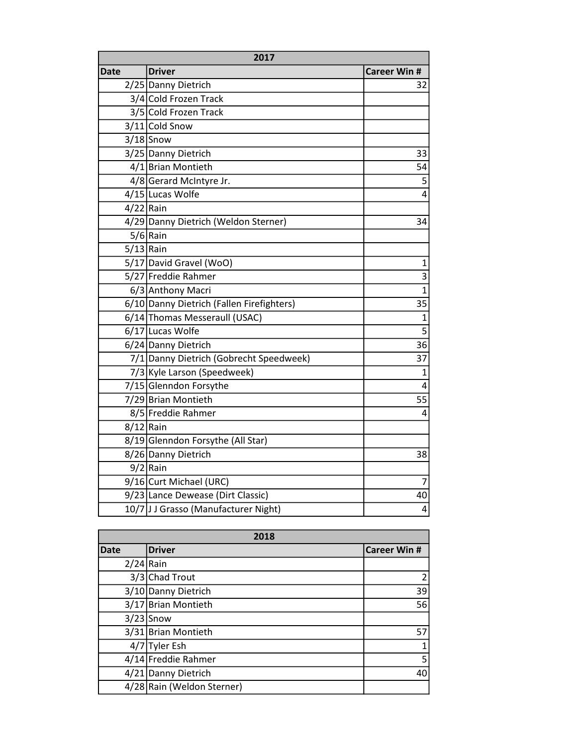| 2017        |                                           |                         |
|-------------|-------------------------------------------|-------------------------|
| Date        | <b>Driver</b>                             | <b>Career Win #</b>     |
|             | 2/25 Danny Dietrich                       | 32                      |
|             | 3/4 Cold Frozen Track                     |                         |
|             | 3/5 Cold Frozen Track                     |                         |
|             | 3/11 Cold Snow                            |                         |
|             | $3/18$ Snow                               |                         |
|             | 3/25 Danny Dietrich                       | 33                      |
|             | 4/1 Brian Montieth                        | 54                      |
|             | 4/8 Gerard McIntyre Jr.                   | 5                       |
|             | 4/15 Lucas Wolfe                          | $\overline{4}$          |
| $4/22$ Rain |                                           |                         |
|             | 4/29 Danny Dietrich (Weldon Sterner)      | 34                      |
|             | $5/6$ Rain                                |                         |
| $5/13$ Rain |                                           |                         |
|             | 5/17 David Gravel (WoO)                   | $\mathbf 1$             |
|             | 5/27 Freddie Rahmer                       | $\overline{3}$          |
|             | 6/3 Anthony Macri                         | $\overline{1}$          |
|             | 6/10 Danny Dietrich (Fallen Firefighters) | 35                      |
|             | 6/14 Thomas Messeraull (USAC)             | $\mathbf{1}$            |
|             | 6/17 Lucas Wolfe                          | $\overline{5}$          |
|             | 6/24 Danny Dietrich                       | 36                      |
|             | 7/1 Danny Dietrich (Gobrecht Speedweek)   | 37                      |
|             | 7/3 Kyle Larson (Speedweek)               | $\mathbf 1$             |
|             | 7/15 Glenndon Forsythe                    | $\overline{4}$          |
|             | 7/29 Brian Montieth                       | 55                      |
|             | 8/5 Freddie Rahmer                        | $\overline{4}$          |
| $8/12$ Rain |                                           |                         |
|             | 8/19 Glenndon Forsythe (All Star)         |                         |
|             | 8/26 Danny Dietrich                       | 38                      |
|             | $9/2$ Rain                                |                         |
|             | 9/16 Curt Michael (URC)                   | 7                       |
|             | 9/23 Lance Dewease (Dirt Classic)         | 40                      |
|             | 10/7 J J Grasso (Manufacturer Night)      | $\overline{\mathbf{4}}$ |

| 2018        |                            |                     |
|-------------|----------------------------|---------------------|
| <b>Date</b> | <b>Driver</b>              | <b>Career Win #</b> |
| $2/24$ Rain |                            |                     |
|             | 3/3 Chad Trout             | 2                   |
|             | 3/10 Danny Dietrich        | 39                  |
|             | 3/17 Brian Montieth        | 56                  |
|             | $3/23$ Snow                |                     |
|             | 3/31 Brian Montieth        | 57                  |
|             | 4/7 Tyler Esh              |                     |
|             | 4/14 Freddie Rahmer        | 5                   |
|             | 4/21 Danny Dietrich        | 40                  |
|             | 4/28 Rain (Weldon Sterner) |                     |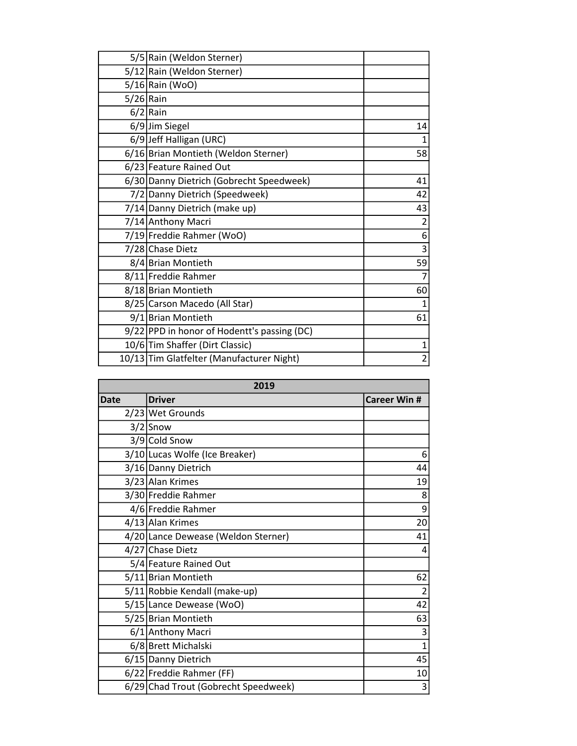| 5/5 Rain (Weldon Sterner)                   |                |
|---------------------------------------------|----------------|
| 5/12 Rain (Weldon Sterner)                  |                |
| $5/16$  Rain (WoO)                          |                |
| $5/26$ Rain                                 |                |
| $6/2$ Rain                                  |                |
| 6/9 Jim Siegel                              | 14             |
| 6/9 Jeff Halligan (URC)                     | 1              |
| 6/16 Brian Montieth (Weldon Sterner)        | 58             |
| 6/23 Feature Rained Out                     |                |
| 6/30 Danny Dietrich (Gobrecht Speedweek)    | 41             |
| 7/2 Danny Dietrich (Speedweek)              | 42             |
| 7/14 Danny Dietrich (make up)               | 43             |
| 7/14 Anthony Macri                          | $\overline{2}$ |
| 7/19 Freddie Rahmer (WoO)                   | 6              |
| 7/28 Chase Dietz                            | 3              |
| 8/4 Brian Montieth                          | 59             |
| 8/11 Freddie Rahmer                         | $\overline{7}$ |
| 8/18 Brian Montieth                         | 60             |
| 8/25 Carson Macedo (All Star)               | 1              |
| 9/1 Brian Montieth                          | 61             |
| 9/22 PPD in honor of Hodentt's passing (DC) |                |
| 10/6 Tim Shaffer (Dirt Classic)             | $\mathbf{1}$   |
| 10/13 Tim Glatfelter (Manufacturer Night)   | $\overline{2}$ |

| 2019        |                                      |                    |
|-------------|--------------------------------------|--------------------|
| <b>Date</b> | <b>Driver</b>                        | <b>Career Win#</b> |
|             | 2/23 Wet Grounds                     |                    |
|             | $3/2$ Snow                           |                    |
|             | 3/9 Cold Snow                        |                    |
|             | 3/10 Lucas Wolfe (Ice Breaker)       | 6                  |
|             | 3/16 Danny Dietrich                  | 44                 |
|             | 3/23 Alan Krimes                     | 19                 |
|             | 3/30 Freddie Rahmer                  | 8                  |
|             | 4/6 Freddie Rahmer                   | 9                  |
|             | 4/13 Alan Krimes                     | 20                 |
|             | 4/20 Lance Dewease (Weldon Sterner)  | 41                 |
|             | 4/27 Chase Dietz                     | 4                  |
|             | 5/4 Feature Rained Out               |                    |
|             | 5/11 Brian Montieth                  | 62                 |
|             | 5/11 Robbie Kendall (make-up)        | $\overline{2}$     |
|             | 5/15 Lance Dewease (WoO)             | 42                 |
|             | 5/25 Brian Montieth                  | 63                 |
|             | 6/1 Anthony Macri                    | 3                  |
|             | 6/8 Brett Michalski                  | $\mathbf{1}$       |
|             | 6/15 Danny Dietrich                  | 45                 |
|             | 6/22 Freddie Rahmer (FF)             | 10                 |
|             | 6/29 Chad Trout (Gobrecht Speedweek) | 3                  |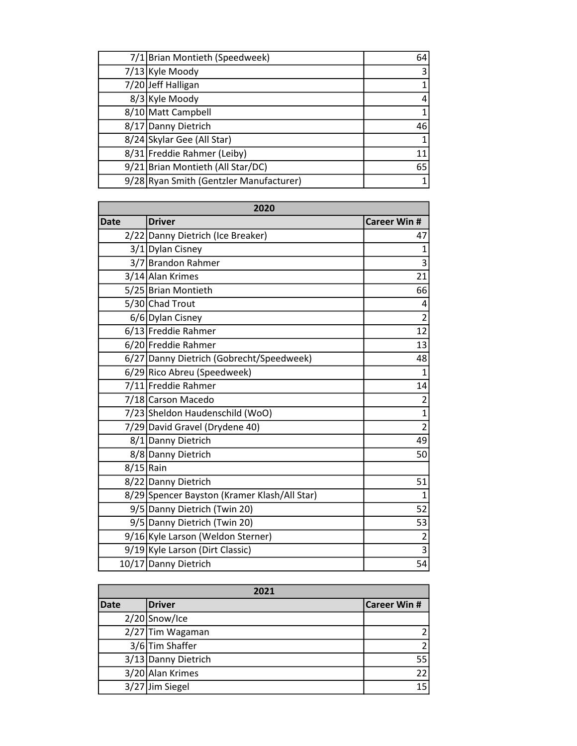| 7/1 Brian Montieth (Speedweek)          | 64 |
|-----------------------------------------|----|
| 7/13 Kyle Moody                         |    |
| 7/20 Jeff Halligan                      |    |
| 8/3 Kyle Moody                          |    |
| 8/10 Matt Campbell                      |    |
| 8/17 Danny Dietrich                     | 46 |
| 8/24 Skylar Gee (All Star)              |    |
| 8/31 Freddie Rahmer (Leiby)             | 11 |
| 9/21 Brian Montieth (All Star/DC)       | 65 |
| 9/28 Ryan Smith (Gentzler Manufacturer) |    |

| 2020        |                                              |                         |
|-------------|----------------------------------------------|-------------------------|
| Date        | <b>Driver</b>                                | <b>Career Win #</b>     |
|             | 2/22 Danny Dietrich (Ice Breaker)            | 47                      |
|             | 3/1 Dylan Cisney                             | $\mathbf{1}$            |
|             | 3/7 Brandon Rahmer                           | 3                       |
|             | 3/14 Alan Krimes                             | 21                      |
|             | 5/25 Brian Montieth                          | 66                      |
|             | 5/30 Chad Trout                              | 4                       |
|             | 6/6 Dylan Cisney                             | $\overline{2}$          |
|             | 6/13 Freddie Rahmer                          | 12                      |
|             | 6/20 Freddie Rahmer                          | 13                      |
|             | 6/27 Danny Dietrich (Gobrecht/Speedweek)     | 48                      |
|             | 6/29 Rico Abreu (Speedweek)                  | $\mathbf{1}$            |
|             | 7/11 Freddie Rahmer                          | 14                      |
|             | 7/18 Carson Macedo                           | $\overline{2}$          |
|             | 7/23 Sheldon Haudenschild (WoO)              | $\overline{1}$          |
|             | 7/29 David Gravel (Drydene 40)               | $\overline{2}$          |
|             | 8/1 Danny Dietrich                           | 49                      |
|             | 8/8 Danny Dietrich                           | 50                      |
| $8/15$ Rain |                                              |                         |
|             | 8/22 Danny Dietrich                          | 51                      |
|             | 8/29 Spencer Bayston (Kramer Klash/All Star) | $\mathbf{1}$            |
|             | 9/5 Danny Dietrich (Twin 20)                 | 52                      |
|             | 9/5 Danny Dietrich (Twin 20)                 | 53                      |
|             | 9/16 Kyle Larson (Weldon Sterner)            | $\overline{\mathbf{c}}$ |
|             | 9/19 Kyle Larson (Dirt Classic)              | $\overline{3}$          |
|             | 10/17 Danny Dietrich                         | 54                      |

| 2021        |                     |              |
|-------------|---------------------|--------------|
| <b>Date</b> | <b>Driver</b>       | Career Win # |
|             | $2/20$ Snow/Ice     |              |
|             | 2/27 Tim Wagaman    |              |
|             | 3/6 Tim Shaffer     | ำ            |
|             | 3/13 Danny Dietrich | 55           |
|             | 3/20 Alan Krimes    | 22           |
|             | 3/27 Jim Siegel     | 15           |